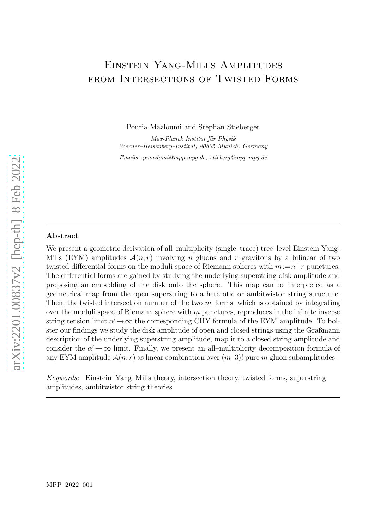# Einstein Yang-Mills Amplitudes from Intersections of Twisted Forms

Pouria Mazloumi and Stephan Stieberger

*Max-Planck Institut f¨ur Physik Werner–Heisenberg–Institut, 80805 Munich, Germany Emails: pmazlomi@mpp.mpg.de, stieberg@mpp.mpg.de*

## Abstract

We present a geometric derivation of all–multiplicity (single–trace) tree–level Einstein Yang-Mills (EYM) amplitudes  $\mathcal{A}(n;r)$  involving n gluons and r gravitons by a bilinear of two twisted differential forms on the moduli space of Riemann spheres with  $m := n+r$  punctures. The differential forms are gained by studying the underlying superstring disk amplitude and proposing an embedding of the disk onto the sphere. This map can be interpreted as a geometrical map from the open superstring to a heterotic or ambitwistor string structure. Then, the twisted intersection number of the two  $m$ -forms, which is obtained by integrating over the moduli space of Riemann sphere with  $m$  punctures, reproduces in the infinite inverse string tension limit  $\alpha' \rightarrow \infty$  the corresponding CHY formula of the EYM amplitude. To bolster our findings we study the disk amplitude of open and closed strings using the Graßmann description of the underlying superstring amplitude, map it to a closed string amplitude and consider the  $\alpha' \rightarrow \infty$  limit. Finally, we present an all-multiplicity decomposition formula of any EYM amplitude  $\mathcal{A}(n; r)$  as linear combination over  $(m-3)!$  pure m gluon subamplitudes.

*Keywords:* Einstein–Yang–Mills theory, intersection theory, twisted forms, superstring amplitudes, ambitwistor string theories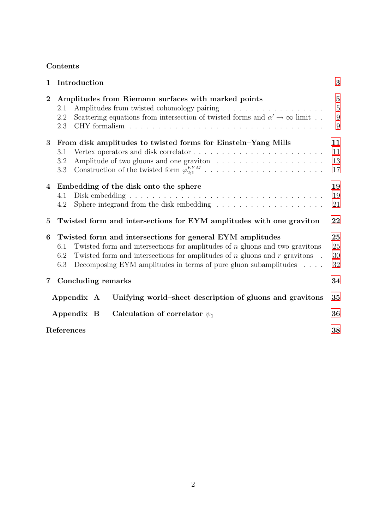## Contents

| $\mathbf{1}$            | Introduction                                                                                                                                                                                                                                                                                                                    | 3                                              |
|-------------------------|---------------------------------------------------------------------------------------------------------------------------------------------------------------------------------------------------------------------------------------------------------------------------------------------------------------------------------|------------------------------------------------|
| $\bf{2}$                | Amplitudes from Riemann surfaces with marked points<br>2.1<br>Scattering equations from intersection of twisted forms and $\alpha' \to \infty$ limit<br>2.2<br>2.3                                                                                                                                                              | $\overline{5}$<br>$\overline{5}$<br>9<br>$9\,$ |
| 3                       | From disk amplitudes to twisted forms for Einstein-Yang Mills<br>3.1<br>$3.2\,$<br>3.3                                                                                                                                                                                                                                          | 11<br>11<br>13<br>17                           |
| 4                       | Embedding of the disk onto the sphere<br>4.1<br>Sphere integrand from the disk embedding $\ldots \ldots \ldots \ldots \ldots \ldots$<br>4.2                                                                                                                                                                                     | 19<br>19<br>21                                 |
| $\bf{5}$                | Twisted form and intersections for EYM amplitudes with one graviton                                                                                                                                                                                                                                                             | 22                                             |
| 6                       | Twisted form and intersections for general EYM amplitudes<br>Twisted form and intersections for amplitudes of $n$ gluons and two gravitons<br>6.1<br>Twisted form and intersections for amplitudes of $n$ gluons and $r$ gravitons.<br>6.2<br>Decomposing EYM amplitudes in terms of pure gluon subamplitudes $\ldots$ .<br>6.3 | 25<br>25<br>30<br>32                           |
| $\overline{\mathbf{7}}$ | Concluding remarks                                                                                                                                                                                                                                                                                                              | 34                                             |
|                         | Appendix A<br>Unifying world-sheet description of gluons and gravitons                                                                                                                                                                                                                                                          | 35                                             |
|                         | Calculation of correlator $\psi_1$<br>Appendix B                                                                                                                                                                                                                                                                                | 36                                             |
|                         | References                                                                                                                                                                                                                                                                                                                      |                                                |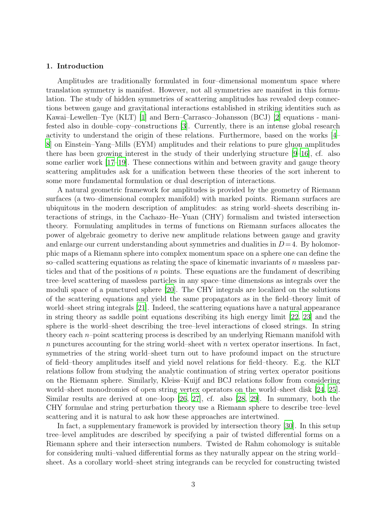#### <span id="page-2-0"></span>1. Introduction

Amplitudes are traditionally formulated in four–dimensional momentum space where translation symmetry is manifest. However, not all symmetries are manifest in this formulation. The study of hidden symmetries of scattering amplitudes has revealed deep connections between gauge and gravitational interactions established in striking identities such as Kawai–Lewellen–Tye (KLT) [\[1\]](#page-37-0) and Bern–Carrasco–Johansson (BCJ) [\[2\]](#page-37-1) equations - manifested also in double–copy–constructions [\[3\]](#page-37-2). Currently, there is an intense global research activity to understand the origin of these relations. Furthermore, based on the works [\[4](#page-37-3)– [8](#page-37-4)] on Einstein–Yang–Mills (EYM) amplitudes and their relations to pure gluon amplitudes there has been growing interest in the study of their underlying structure [\[9](#page-37-5)[–16](#page-37-6)], cf. also some earlier work [\[17](#page-38-0)[–19\]](#page-38-1). These connections within and between gravity and gauge theory scattering amplitudes ask for a unification between these theories of the sort inherent to some more fundamental formulation or dual description of interactions.

A natural geometric framework for amplitudes is provided by the geometry of Riemann surfaces (a two–dimensional complex manifold) with marked points. Riemann surfaces are ubiquitous in the modern description of amplitudes: as string world–sheets describing interactions of strings, in the Cachazo–He–Yuan (CHY) formalism and twisted intersection theory. Formulating amplitudes in terms of functions on Riemann surfaces allocates the power of algebraic geometry to derive new amplitude relations between gauge and gravity and enlarge our current understanding about symmetries and dualities in  $D=4$ . By holomorphic maps of a Riemann sphere into complex momentum space on a sphere one can define the so–called scattering equations as relating the space of kinematic invariants of  $n$  massless particles and that of the positions of  $n$  points. These equations are the fundament of describing tree–level scattering of massless particles in any space–time dimensions as integrals over the moduli space of a punctured sphere [\[20](#page-38-2)]. The CHY integrals are localized on the solutions of the scattering equations and yield the same propagators as in the field–theory limit of world–sheet string integrals [\[21\]](#page-38-3). Indeed, the scattering equations have a natural appearance in string theory as saddle point equations describing its high energy limit [\[22,](#page-38-4) [23\]](#page-38-5) and the sphere is the world–sheet describing the tree–level interactions of closed strings. In string theory each  $n$ –point scattering process is described by an underlying Riemann manifold with  $n$  punctures accounting for the string world–sheet with  $n$  vertex operator insertions. In fact, symmetries of the string world–sheet turn out to have profound impact on the structure of field–theory amplitudes itself and yield novel relations for field–theory. E.g. the KLT relations follow from studying the analytic continuation of string vertex operator positions on the Riemann sphere. Similarly, Kleiss–Kuijf and BCJ relations follow from considering world–sheet monodromies of open string vertex operators on the world–sheet disk [\[24,](#page-38-6) [25\]](#page-38-7). Similar results are derived at one–loop [\[26](#page-38-8), [27](#page-38-9)], cf. also [\[28,](#page-38-10) [29\]](#page-38-11). In summary, both the CHY formulae and string perturbation theory use a Riemann sphere to describe tree–level scattering and it is natural to ask how these approaches are intertwined.

In fact, a supplementary framework is provided by intersection theory [\[30](#page-38-12)]. In this setup tree–level amplitudes are described by specifying a pair of twisted differential forms on a Riemann sphere and their intersection numbers. Twisted de Rahm cohomology is suitable for considering multi–valued differential forms as they naturally appear on the string world– sheet. As a corollary world–sheet string integrands can be recycled for constructing twisted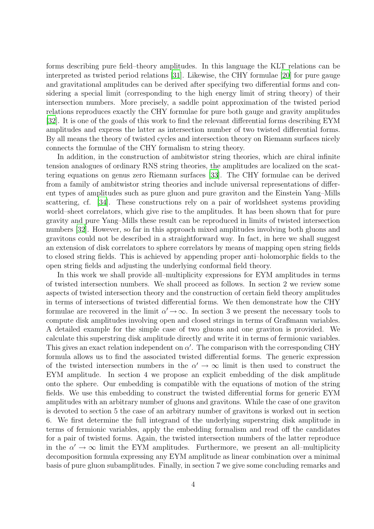forms describing pure field–theory amplitudes. In this language the KLT relations can be interpreted as twisted period relations [\[31\]](#page-38-13). Likewise, the CHY formulae [\[20\]](#page-38-2) for pure gauge and gravitational amplitudes can be derived after specifying two differential forms and considering a special limit (corresponding to the high energy limit of string theory) of their intersection numbers. More precisely, a saddle point approximation of the twisted period relations reproduces exactly the CHY formulae for pure both gauge and gravity amplitudes [\[32](#page-38-14)]. It is one of the goals of this work to find the relevant differential forms describing EYM amplitudes and express the latter as intersection number of two twisted differential forms. By all means the theory of twisted cycles and intersection theory on Riemann surfaces nicely connects the formulae of the CHY formalism to string theory.

In addition, in the construction of ambitwistor string theories, which are chiral infinite tension analogues of ordinary RNS string theories, the amplitudes are localized on the scattering equations on genus zero Riemann surfaces [\[33\]](#page-38-15). The CHY formulae can be derived from a family of ambitwistor string theories and include universal representations of different types of amplitudes such as pure gluon and pure graviton and the Einstein Yang–Mills scattering, cf. [\[34](#page-39-0)]. These constructions rely on a pair of worldsheet systems providing world–sheet correlators, which give rise to the amplitudes. It has been shown that for pure gravity and pure Yang–Mills these result can be reproduced in limits of twisted intersection numbers [\[32](#page-38-14)]. However, so far in this approach mixed amplitudes involving both gluons and gravitons could not be described in a straightforward way. In fact, in here we shall suggest an extension of disk correlators to sphere correlators by means of mapping open string fields to closed string fields. This is achieved by appending proper anti–holomorphic fields to the open string fields and adjusting the underlying conformal field theory.

In this work we shall provide all–multiplicity expressions for EYM amplitudes in terms of twisted intersection numbers. We shall proceed as follows. In section 2 we review some aspects of twisted intersection theory and the construction of certain field theory amplitudes in terms of intersections of twisted differential forms. We then demonstrate how the CHY formulae are recovered in the limit  $\alpha' \to \infty$ . In section 3 we present the necessary tools to compute disk amplitudes involving open and closed strings in terms of Graßmann variables. A detailed example for the simple case of two gluons and one graviton is provided. We calculate this superstring disk amplitude directly and write it in terms of fermionic variables. This gives an exact relation independent on  $\alpha'$ . The comparison with the corresponding CHY formula allows us to find the associated twisted differential forms. The generic expression of the twisted intersection numbers in the  $\alpha' \to \infty$  limit is then used to construct the EYM amplitude. In section 4 we propose an explicit embedding of the disk amplitude onto the sphere. Our embedding is compatible with the equations of motion of the string fields. We use this embedding to construct the twisted differential forms for generic EYM amplitudes with an arbitrary number of gluons and gravitons. While the case of one graviton is devoted to section 5 the case of an arbitrary number of gravitons is worked out in section 6. We first determine the full integrand of the underlying superstring disk amplitude in terms of fermionic variables, apply the embedding formalism and read off the candidates for a pair of twisted forms. Again, the twisted intersection numbers of the latter reproduce in the  $\alpha' \to \infty$  limit the EYM amplitudes. Furthermore, we present an all–multiplicity decomposition formula expressing any EYM amplitude as linear combination over a minimal basis of pure gluon subamplitudes. Finally, in section 7 we give some concluding remarks and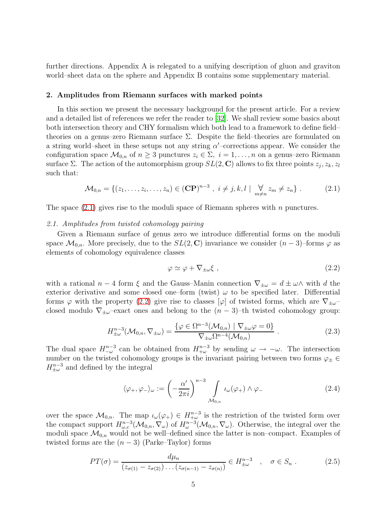further directions. Appendix A is relegated to a unifying description of gluon and graviton world–sheet data on the sphere and Appendix B contains some supplementary material.

## <span id="page-4-0"></span>2. Amplitudes from Riemann surfaces with marked points

In this section we present the necessary background for the present article. For a review and a detailed list of references we refer the reader to [\[32\]](#page-38-14). We shall review some basics about both intersection theory and CHY formalism which both lead to a framework to define field– theories on a genus–zero Riemann surface  $\Sigma$ . Despite the field–theories are formulated on a string world–sheet in these setups not any string  $\alpha'$ –corrections appear. We consider the configuration space  $\mathcal{M}_{0,n}$  of  $n \geq 3$  punctures  $z_i \in \Sigma$ ,  $i = 1, \ldots, n$  on a genus–zero Riemann surface  $\Sigma$ . The action of the automorphism group  $SL(2, \mathbb{C})$  allows to fix three points  $z_j, z_k, z_l$ such that:

<span id="page-4-2"></span>
$$
\mathcal{M}_{0,n} = \{ (z_1, \ldots, z_i, \ldots, z_n) \in (\mathbf{CP})^{n-3} , i \neq j, k, l \mid \bigvee_{m \neq n} z_m \neq z_n \} .
$$
 (2.1)

<span id="page-4-1"></span>The space  $(2.1)$  gives rise to the moduli space of Riemann spheres with n punctures.

#### *2.1. Amplitudes from twisted cohomology pairing*

Given a Riemann surface of genus zero we introduce differential forms on the moduli space  $\mathcal{M}_{0,n}$ . More precisely, due to the  $SL(2,\mathbb{C})$  invariance we consider  $(n-3)$ –forms  $\varphi$  as elements of cohomology equivalence classes

<span id="page-4-3"></span>
$$
\varphi \simeq \varphi + \nabla_{\pm \omega} \xi \tag{2.2}
$$

with a rational  $n-4$  form  $\xi$  and the Gauss–Manin connection  $\nabla_{\pm\omega}=d\pm\omega\wedge$  with d the exterior derivative and some closed one–form (twist)  $\omega$  to be specified later. Differential forms  $\varphi$  with the property [\(2.2\)](#page-4-3) give rise to classes  $[\varphi]$  of twisted forms, which are  $\nabla_{\pm\omega}$ closed modulo  $\nabla_{\pm\omega}$ –exact ones and belong to the  $(n-3)$ –th twisted cohomology group:

$$
H_{\pm\omega}^{n-3}(\mathcal{M}_{0,n}, \nabla_{\pm\omega}) = \frac{\{\varphi \in \Omega^{n-3}(\mathcal{M}_{0,n}) \mid \nabla_{\pm\omega}\varphi = 0\}}{\nabla_{\pm\omega}\Omega^{n-4}(\mathcal{M}_{0,n})}.
$$
\n(2.3)

<span id="page-4-5"></span>The dual space  $H_{-\omega}^{n-3}$  can be obtained from  $H_{+\omega}^{n-3}$  by sending  $\omega \to -\omega$ . The intersection number on the twisted cohomology groups is the invariant pairing between two forms  $\varphi_{\pm} \in$  $H_{\pm\omega}^{n-3}$  and defined by the integral

<span id="page-4-6"></span><span id="page-4-4"></span>
$$
\langle \varphi_+, \varphi_- \rangle_{\omega} := \left( -\frac{\alpha'}{2\pi i} \right)^{n-3} \int_{\mathcal{M}_{0,n}} \iota_{\omega}(\varphi_+) \wedge \varphi_- \tag{2.4}
$$

over the space  $\mathcal{M}_{0,n}$ . The map  $\iota_{\omega}(\varphi_{+}) \in H^{n-3}_{+\omega}$  is the restriction of the twisted form over the compact support  $H^{n-3}_{\omega,c}(\mathcal{M}_{0,n}, \nabla_\omega)$  of  $H^{n-3}_{\omega}(\mathcal{M}_{0,n}, \nabla_\omega)$ . Otherwise, the integral over the moduli space  $\mathcal{M}_{0,n}$  would not be well-defined since the latter is non-compact. Examples of twisted forms are the  $(n-3)$  (Parke–Taylor) forms

$$
PT(\sigma) = \frac{d\mu_n}{(z_{\sigma(1)} - z_{\sigma(2)}) \dots (z_{\sigma(n-1)} - z_{\sigma(n)})} \in H_{\pm\omega}^{n-3} \quad , \quad \sigma \in S_n \; . \tag{2.5}
$$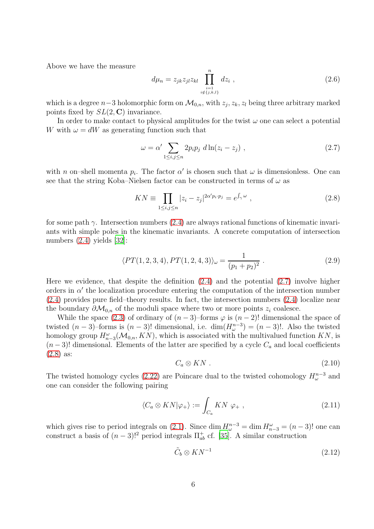Above we have the measure

<span id="page-5-5"></span>
$$
d\mu_n = z_{jk} z_{jl} z_{kl} \prod_{\substack{i=1 \ i \notin \{j,k,l\}}}^n dz_i , \qquad (2.6)
$$

which is a degree  $n-3$  holomorphic form on  $\mathcal{M}_{0,n}$ , with  $z_j, z_k, z_l$  being three arbitrary marked points fixed by  $SL(2, \mathbb{C})$  invariance.

In order to make contact to physical amplitudes for the twist  $\omega$  one can select a potential W with  $\omega = dW$  as generating function such that

<span id="page-5-1"></span><span id="page-5-0"></span>
$$
\omega = \alpha' \sum_{1 \le i,j \le n} 2p_i p_j \ d \ln(z_i - z_j) \ , \tag{2.7}
$$

with n on-shell momenta  $p_i$ . The factor  $\alpha'$  is chosen such that  $\omega$  is dimensionless. One can see that the string Koba–Nielsen factor can be constructed in terms of  $\omega$  as

$$
KN \equiv \prod_{1 \le i,j \le n} |z_i - z_j|^{2\alpha' p_i \cdot p_j} = e^{\int_{\gamma} \omega}, \qquad (2.8)
$$

for some path  $\gamma$ . Intersection numbers [\(2.4\)](#page-4-4) are always rational functions of kinematic invariants with simple poles in the kinematic invariants. A concrete computation of intersection numbers [\(2.4\)](#page-4-4) yields [\[32\]](#page-38-14):

$$
\langle PT(1,2,3,4), PT(1,2,4,3) \rangle_{\omega} = \frac{1}{(p_1 + p_2)^2} \ . \tag{2.9}
$$

Here we evidence, that despite the definition  $(2.4)$  and the potential  $(2.7)$  involve higher orders in  $\alpha'$  the localization procedure entering the computation of the intersection number [\(2.4\)](#page-4-4) provides pure field–theory results. In fact, the intersection numbers [\(2.4\)](#page-4-4) localize near the boundary  $\partial \mathcal{M}_{0,n}$  of the moduli space where two or more points  $z_i$  coalesce.

While the space [\(2.3\)](#page-4-5) of ordinary of  $(n-3)$ –forms  $\varphi$  is  $(n-2)!$  dimensional the space of twisted  $(n-3)$ -forms is  $(n-3)!$  dimensional, i.e.  $\dim(H^{n-3}_{\omega}) = (n-3)!$ . Also the twisted homology group  $H_{n-3}^{\omega}(\mathcal{M}_{0,n},KN)$ , which is associated with the multivalued function  $KN$ , is  $(n-3)!$  dimensional. Elements of the latter are specified by a cycle  $C_a$  and local coefficients [\(2.8\)](#page-5-1) as:

<span id="page-5-4"></span>
$$
C_a \otimes KN \tag{2.10}
$$

<span id="page-5-3"></span>The twisted homology cycles [\(2.22\)](#page-7-0) are Poincare dual to the twisted cohomology  $H_{\omega}^{n-3}$  and one can consider the following pairing

$$
\langle C_a \otimes KN|\varphi_+ \rangle := \int_{C_a} KN \; \varphi_+ \; , \tag{2.11}
$$

which gives rise to period integrals on [\(2.1\)](#page-4-2). Since dim  $H_{\omega}^{n-3} = \dim H_{n-3}^{\omega} = (n-3)!$  one can construct a basis of  $(n-3)!^2$  period integrals  $\Pi_{ab}^+$  cf. [\[35](#page-39-1)]. A similar construction

<span id="page-5-2"></span>
$$
\tilde{C}_b \otimes KN^{-1} \tag{2.12}
$$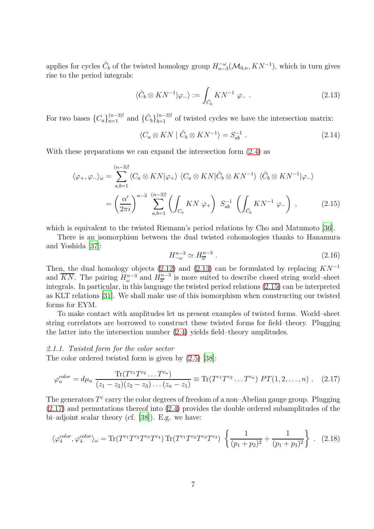applies for cycles  $\tilde{C}_b$  of the twisted homology group  $H_{n-3}^{-\omega}(\mathcal{M}_{0,n}, K N^{-1})$ , which in turn gives rise to the period integrals:

<span id="page-6-0"></span>
$$
\langle \tilde{C}_b \otimes KN^{-1}|\varphi_-\rangle := \int_{\tilde{C}_b} KN^{-1} \varphi_- . \tag{2.13}
$$

For two bases  ${C_a}_{a=1}^{(n-3)!}$  and  ${\tilde{C}_b}_{b=1}^{(n-3)!}$  of twisted cycles we have the intersection matrix:

$$
\langle C_a \otimes KN \mid \tilde{C}_b \otimes KN^{-1} \rangle = S_{ab}^{-1} . \tag{2.14}
$$

With these preparations we can expand the intersection form [\(2.4\)](#page-4-4) as

$$
\langle \varphi_+, \varphi_- \rangle_{\omega} = \sum_{a,b=1}^{(n-3)!} \langle C_a \otimes KN | \varphi_+ \rangle \langle C_a \otimes KN | \tilde{C}_b \otimes KN^{-1} \rangle \langle \tilde{C}_b \otimes KN^{-1} | \varphi_- \rangle
$$
  
= 
$$
\left(\frac{\alpha'}{2\pi i}\right)^{n-3} \sum_{a,b=1}^{(n-3)!} \left( \int_{C_a} KN \varphi_+ \right) S_{ab}^{-1} \left( \int_{\tilde{C}_b} KN^{-1} \varphi_- \right) , \qquad (2.15)
$$

which is equivalent to the twisted Riemann's period relations by Cho and Matumoto [\[36](#page-39-2)].

<span id="page-6-4"></span>There is an isomorphism between the dual twisted cohomologies thanks to Hanamura and Yoshida [\[37\]](#page-39-3):

<span id="page-6-2"></span><span id="page-6-1"></span>
$$
H_{-\omega}^{n-3} \simeq H_{\overline{\omega}}^{n-3} \ . \tag{2.16}
$$

Then, the dual homology objects [\(2.12\)](#page-5-2) and [\(2.13\)](#page-6-0) can be formulated by replacing  $KN^{-1}$ and  $\overline{KN}$ . The pairing  $H^{n-3}_{\omega}$  and  $H^{n-3}_{\overline{\omega}}$  is more suited to describe closed string world–sheet integrals. In particular, in this language the twisted period relations [\(2.15\)](#page-6-1) can be interpreted as KLT relations [\[31\]](#page-38-13). We shall make use of this isomorphism when constructing our twisted forms for EYM.

To make contact with amplitudes let us present examples of twisted forms. World–sheet string correlators are borrowed to construct these twisted forms for field–theory. Plugging the latter into the intersection number [\(2.4\)](#page-4-4) yields field–theory amplitudes.

## *2.1.1. Twisted form for the color sector*

The color ordered twisted form is given by [\(2.5\)](#page-4-6) [\[38](#page-39-4)]:

$$
\varphi_n^{color} = d\mu_n \; \frac{\text{Tr}(T^{c_1}T^{c_2}\dots T^{c_n})}{(z_1 - z_2)(z_2 - z_3)\dots(z_n - z_1)} \equiv \text{Tr}(T^{c_1}T^{c_2}\dots T^{c_n}) \; PT(1, 2, \dots, n) \; . \tag{2.17}
$$

The generators  $T^c$  carry the color degrees of freedom of a non-Abelian gauge group. Plugging [\(2.17\)](#page-6-2) and permutations thereof into [\(2.4\)](#page-4-4) provides the double ordered subamplitudes of the bi–adjoint scalar theory (cf. [\[38\]](#page-39-4)). E.g. we have:

<span id="page-6-3"></span>
$$
\langle \varphi_4^{color}, \varphi_4^{color} \rangle_{\omega} = \text{Tr}(T^{c_1}T^{c_2}T^{c_3}T^{c_4}) \text{Tr}(T^{c_1}T^{c_2}T^{c_3}T^{c_4}) \left\{ \frac{1}{(p_1 + p_2)^2} + \frac{1}{(p_1 + p_3)^2} \right\} .
$$
 (2.18)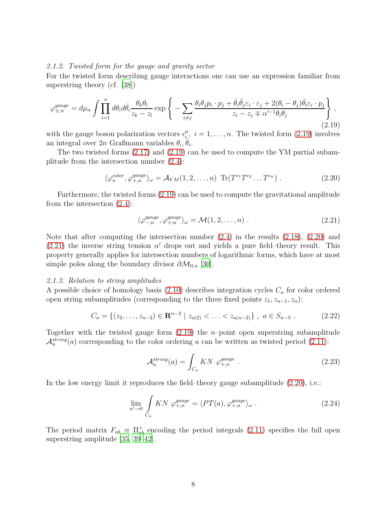### *2.1.2. Twisted form for the gauge and gravity sector*

For the twisted form describing gauge interactions one can use an expression familiar from superstring theory (cf. [\[38\]](#page-39-4))

<span id="page-7-1"></span>
$$
\varphi_{\pm,n}^{gauge} = d\mu_n \int \prod_{i=1}^n d\theta_i d\bar{\theta}_i \frac{\theta_k \theta_l}{z_k - z_l} \exp \left\{ - \sum_{i \neq j} \frac{\theta_i \theta_j p_i \cdot p_j + \bar{\theta}_i \bar{\theta}_j \varepsilon_i \cdot \varepsilon_j + 2(\theta_i - \theta_j) \bar{\theta}_i \varepsilon_i \cdot p_j}{z_i - z_j \mp \alpha'^{-1} \theta_i \theta_j} \right\},\tag{2.19}
$$

with the gauge boson polarization vectors  $\epsilon_i^{\mu}$  $i_{\underline{i}}^{\mu}, i = 1, \dots, n$ . The twisted form  $(2.19)$  involves an integral over  $2n$  Graßmann variables  $\theta_i$ ,  $\bar{\theta}_i$ .

The two twisted forms [\(2.17\)](#page-6-2) and [\(2.19\)](#page-7-1) can be used to compute the YM partial subamplitude from the intersection number [\(2.4\)](#page-4-4):

$$
\langle \varphi_n^{color}, \varphi_{+,n}^{gauge} \rangle_{\omega} = \mathcal{A}_{YM}(1, 2, \dots, n) \operatorname{Tr}(T^{c_1}T^{c_2} \dots T^{c_n}) . \tag{2.20}
$$

Furthermore, the twisted forms [\(2.19\)](#page-7-1) can be used to compute the gravitational amplitude from the intersection [\(2.4\)](#page-4-4):

<span id="page-7-3"></span><span id="page-7-2"></span>
$$
\langle \varphi_{-,n}^{gauge}, \varphi_{+,n}^{gauge} \rangle_{\omega} = \mathcal{M}(1, 2, \dots, n) . \tag{2.21}
$$

Note that after computing the intersection number [\(2.4\)](#page-4-4) in the results [\(2.18\)](#page-6-3), [\(2.20\)](#page-7-2) and  $(2.21)$  the inverse string tension  $\alpha'$  drops out and yields a pure field–theory result. This property generally applies for intersection numbers of logarithmic forms, which have at most simple poles along the boundary divisor  $\partial \mathcal{M}_{0,n}$  [\[30](#page-38-12)].

#### *2.1.3. Relation to string amplitudes*

A possible choice of homology basis  $(2.10)$  describes integration cycles  $C_a$  for color ordered open string subamplitudes (corresponding to the three fixed points  $z_1, z_{n-1}, z_n$ ):

$$
C_a = \{(z_2, \ldots, z_{n-2}) \in \mathbf{R}^{n-3} \mid z_{a(2)} < \ldots < z_{a(n-2)}\}, \ a \in S_{n-3} . \tag{2.22}
$$

Together with the twisted gauge form  $(2.19)$  the *n*-point open superstring subamplitude  $\mathcal{A}_n^{string}(a)$  corresponding to the color ordering a can be written as twisted period [\(2.11\)](#page-5-4):

<span id="page-7-0"></span>
$$
\mathcal{A}_n^{string}(a) = \int_{C_a} KN \; \varphi_{+,n}^{gauge} \; . \tag{2.23}
$$

In the low energy limit it reproduces the field–theory gauge subamplitude  $(2.20)$ , i.e.:

$$
\lim_{\alpha' \to 0} \int\limits_{C_a} KN \varphi_{+,n}^{gauge} = \langle PT(a), \varphi_{+,n}^{gauge} \rangle_{\omega} .
$$
\n(2.24)

The period matrix  $F_{ab} \equiv \Pi_{ab}^{+}$  encoding the period integrals [\(2.11\)](#page-5-4) specifies the full open superstring amplitude [\[35,](#page-39-1) [39](#page-39-5)[–42](#page-39-6)].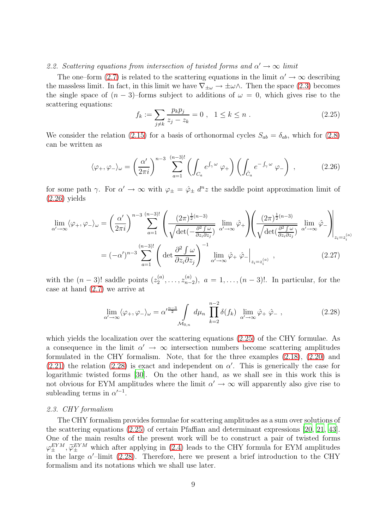## <span id="page-8-0"></span>2.2. Scattering equations from intersection of twisted forms and  $\alpha' \to \infty$  limit

The one–form [\(2.7\)](#page-5-0) is related to the scattering equations in the limit  $\alpha' \to \infty$  describing the massless limit. In fact, in this limit we have  $\nabla_{\pm\omega} \to \pm\omega\wedge$ . Then the space [\(2.3\)](#page-4-5) becomes the single space of  $(n-3)$ –forms subject to additions of  $\omega = 0$ , which gives rise to the scattering equations:

<span id="page-8-3"></span>
$$
f_k := \sum_{j \neq k} \frac{p_k p_j}{z_j - z_k} = 0 \ , \quad 1 \leq k \leq n \ . \tag{2.25}
$$

We consider the relation [\(2.15\)](#page-6-1) for a basis of orthonormal cycles  $S_{ab} = \delta_{ab}$ , which for [\(2.8\)](#page-5-1) can be written as

<span id="page-8-2"></span>
$$
\langle \varphi_+, \varphi_- \rangle_{\omega} = \left( \frac{\alpha'}{2\pi i} \right)^{n-3} \sum_{a=1}^{(n-3)!} \left( \int_{C_a} e^{\int_{\gamma} \omega} \varphi_+ \right) \left( \int_{\tilde{C}_a} e^{-\int_{\gamma} \omega} \varphi_- \right) , \tag{2.26}
$$

for some path  $\gamma$ . For  $\alpha' \to \infty$  with  $\varphi_{\pm} = \hat{\varphi}_{\pm} d^n z$  the saddle point approximation limit of  $(2.26)$  yields

$$
\lim_{\alpha' \to \infty} \langle \varphi_+, \varphi_- \rangle_{\omega} = \left( \frac{\alpha'}{2\pi i} \right)^{n-3} \sum_{a=1}^{(n-3)!} \left( \frac{(2\pi)^{\frac{1}{2}(n-3)}}{\sqrt{\det(-\frac{\partial^2 f}{\partial z_i \partial z_j})}} \lim_{\alpha' \to \infty} \hat{\varphi}_+ \right) \left( \frac{(2\pi)^{\frac{1}{2}(n-3)}}{\sqrt{\det(\frac{\partial^2 f}{\partial z_i \partial z_j})}} \lim_{\alpha' \to \infty} \hat{\varphi}_- \right) \Big|_{z_i = z_i^{(a)}}
$$

$$
= (-\alpha')^{n-3} \sum_{a=1}^{(n-3)!} \left( \det \frac{\partial^2 f}{\partial z_i \partial z_j} \right)^{-1} \lim_{\alpha' \to \infty} \hat{\varphi}_+ \hat{\varphi}_- \Big|_{z_i = z_i^{(a)}} , \qquad (2.27)
$$

with the  $(n-3)!$  saddle points  $(z_2^{(a)})$  $z_2^{(a)}, \ldots, z_{n-1}^{(a)}$  $\binom{a}{n-2}$ ,  $a = 1, \ldots, (n-3)!$ . In particular, for the case at hand [\(2.7\)](#page-5-0) we arrive at

<span id="page-8-4"></span>
$$
\lim_{\alpha' \to \infty} \langle \varphi_+, \varphi_- \rangle_{\omega} = \alpha'^{\frac{n-3}{2}} \int_{\mathcal{M}_{0,n}} d\mu_n \prod_{k=2}^{n-2} \delta(f_k) \lim_{\alpha' \to \infty} \hat{\varphi}_+ \hat{\varphi}_-,
$$
\n(2.28)

which yields the localization over the scattering equations [\(2.25\)](#page-8-3) of the CHY formulae. As a consequence in the limit  $\alpha' \to \infty$  intersection numbers become scattering amplitudes formulated in the CHY formalism. Note, that for the three examples [\(2.18\)](#page-6-3), [\(2.20\)](#page-7-2) and  $(2.21)$  the relation  $(2.28)$  is exact and independent on  $\alpha'$ . This is generically the case for logarithmic twisted forms [\[30](#page-38-12)]. On the other hand, as we shall see in this work this is not obvious for EYM amplitudes where the limit  $\alpha' \to \infty$  will apparently also give rise to subleading terms in  $\alpha'^{-1}$ .

## <span id="page-8-1"></span>*2.3. CHY formalism*

The CHY formalism provides formulae for scattering amplitudes as a sum over solutions of the scattering equations [\(2.25\)](#page-8-3) of certain Pfaffian and determinant expressions [\[20,](#page-38-2) [21,](#page-38-3) [43\]](#page-39-7). One of the main results of the present work will be to construct a pair of twisted forms  $\varphi_{\pm}^{EYM}$ ,  $\tilde{\varphi}_{\pm}^{EYM}$  which after applying in [\(2.4\)](#page-4-4) leads to the CHY formula for EYM amplitudes in the large  $\alpha'$ -limit [\(2.28\)](#page-8-4). Therefore, here we present a brief introduction to the CHY formalism and its notations which we shall use later.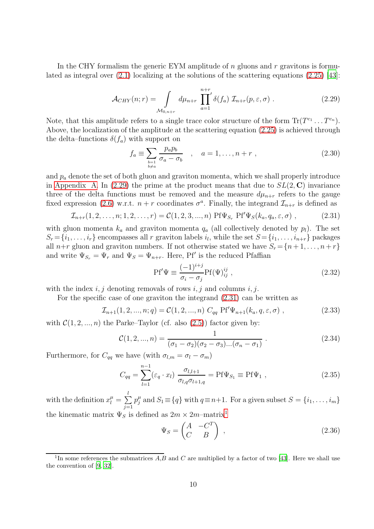<span id="page-9-0"></span>In the CHY formalism the generic EYM amplitude of  $n$  gluons and  $r$  gravitons is formulated as integral over  $(2.1)$  localizing at the solutions of the scattering equations  $(2.25)$  [\[43\]](#page-39-7):

$$
\mathcal{A}_{CHY}(n;r) = \int_{\mathcal{M}_{0,n+r}} d\mu_{n+r} \prod_{a=1}^{n+r} \delta(f_a) \mathcal{I}_{n+r}(p,\varepsilon,\sigma) . \qquad (2.29)
$$

Note, that this amplitude refers to a single trace color structure of the form  $\text{Tr}(T^{c_1} \dots T^{c_n})$ . Above, the localization of the amplitude at the scattering equation [\(2.25\)](#page-8-3) is achieved through the delta–functions  $\delta(f_a)$  with support on

<span id="page-9-6"></span>
$$
f_a \equiv \sum_{\substack{b=1 \ b \neq a}} \frac{p_a p_b}{\sigma_a - \sigma_b} \quad , \quad a = 1, \dots, n + r \tag{2.30}
$$

and  $p_a$  denote the set of both gluon and graviton momenta, which we shall properly introduce in [Appendix A.](#page-34-0) In [\(2.29\)](#page-9-0) the prime at the product means that due to  $SL(2, \mathbb{C})$  invariance three of the delta functions must be removed and the measure  $d\mu_{n+r}$  refers to the gauge fixed expression [\(2.6\)](#page-5-5) w.r.t.  $n+r$  coordinates  $\sigma^a$ . Finally, the integrand  $\mathcal{I}_{n+r}$  is defined as

$$
\mathcal{I}_{n+r}(1,2,\ldots,n;1,2,\ldots,r) = \mathcal{C}(1,2,3,\ldots,n) \text{ Pf}\Psi_{S_r} \text{ Pf}'\Psi_S(k_a,q_a,\varepsilon,\sigma) ,\qquad (2.31)
$$

with gluon momenta  $k_a$  and graviton momenta  $q_a$  (all collectively denoted by  $p_l$ ). The set  $S_r = \{i_1, \ldots, i_r\}$  encompasses all r graviton labels  $i_l$ , while the set  $S = \{i_1, \ldots, i_{n+r}\}$  packages all  $n+r$  gluon and graviton numbers. If not otherwise stated we have  $S_r = \{n+1, \ldots, n+r\}$ and write  $\Psi_{S_r} = \Psi_r$  and  $\Psi_S = \Psi_{n+r}$ . Here, Pf' is the reduced Pfaffian

<span id="page-9-7"></span><span id="page-9-4"></span><span id="page-9-3"></span><span id="page-9-1"></span>
$$
\text{Pf}'\Psi \equiv \frac{(-1)^{i+j}}{\sigma_i - \sigma_j} \text{Pf}(\Psi)_{ij}^{ij} , \qquad (2.32)
$$

with the index  $i, j$  denoting removals of rows  $i, j$  and columns  $i, j$ .

For the specific case of one graviton the integrand [\(2.31\)](#page-9-1) can be written as

$$
\mathcal{I}_{n+1}(1,2,...,n;q) = \mathcal{C}(1,2,...,n) \ C_{qq} \ \Pr'\Psi_{n+1}(k_a,q,\varepsilon,\sigma) \ , \tag{2.33}
$$

with  $C(1, 2, ..., n)$  the Parke–Taylor (cf. also  $(2.5)$ ) factor given by:

$$
\mathcal{C}(1, 2, ..., n) = \frac{1}{(\sigma_1 - \sigma_2)(\sigma_2 - \sigma_3)...(\sigma_n - \sigma_1)}.
$$
\n(2.34)

Furthermore, for  $C_{qq}$  we have (with  $\sigma_{l,m} = \sigma_l - \sigma_m$ )

$$
C_{qq} = \sum_{l=1}^{n-1} (\varepsilon_q \cdot x_l) \frac{\sigma_{l,l+1}}{\sigma_{l,q} \sigma_{l+1,q}} = \text{Pf}\Psi_{S_1} \equiv \text{Pf}\Psi_1 , \qquad (2.35)
$$

with the definition  $x_l^{\mu} = \sum_l$  $j=1$  $p_i^{\mu}$  $j_i^{\mu}$  and  $S_1 \equiv \{q\}$  with  $q \equiv n+1$ . For a given subset  $S = \{i_1, \ldots, i_m\}$ the kinematic matrix  $\Psi_S$  is defined as  $2m \times 2m$ –matrix<sup>[1](#page-9-2)</sup>

<span id="page-9-8"></span><span id="page-9-5"></span>
$$
\Psi_S = \begin{pmatrix} A & -C^T \\ C & B \end{pmatrix} , \qquad (2.36)
$$

<span id="page-9-2"></span><sup>&</sup>lt;sup>1</sup>In some references the submatrices  $A, B$  and  $C$  are multiplied by a factor of two [\[43\]](#page-39-7). Here we shall use the convention of [\[9,](#page-37-5) [32\]](#page-38-14).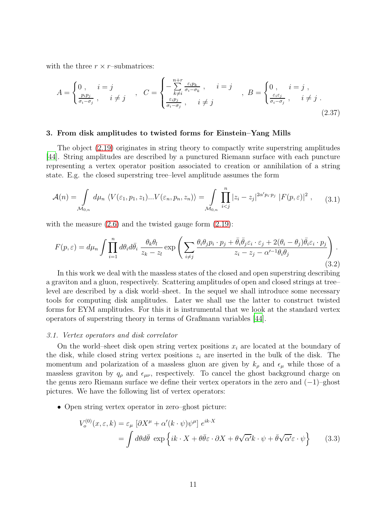with the three  $r \times r$ –submatrices:

<span id="page-10-5"></span>
$$
A = \begin{cases} 0, & i = j \\ \frac{p_i p_j}{\sigma_i - \sigma_j}, & i \neq j \end{cases}, \quad C = \begin{cases} -\sum_{k \neq i}^{n+r} \frac{\varepsilon_i p_k}{\sigma_i - \sigma_k}, & i = j \\ \frac{\varepsilon_i p_j}{\sigma_i - \sigma_j}, & i \neq j \end{cases}, \quad B = \begin{cases} 0, & i = j \\ \frac{\varepsilon_i \varepsilon_j}{\sigma_i - \sigma_j}, & i \neq j \end{cases} \tag{2.37}
$$

#### <span id="page-10-0"></span>3. From disk amplitudes to twisted forms for Einstein–Yang Mills

The object [\(2.19\)](#page-7-1) originates in string theory to compactly write superstring amplitudes [\[44](#page-39-8)]. String amplitudes are described by a punctured Riemann surface with each puncture representing a vertex operator position associated to creation or annihilation of a string state. E.g. the closed superstring tree–level amplitude assumes the form

<span id="page-10-4"></span>
$$
\mathcal{A}(n) = \int_{\mathcal{M}_{0,n}} d\mu_n \langle V(\varepsilon_1, p_1, z_1) \dots V(\varepsilon_n, p_n, z_n) \rangle = \int_{\mathcal{M}_{0,n}} \prod_{i < j}^n |z_i - z_j|^{2\alpha' p_i \cdot p_j} |F(p, \varepsilon)|^2 ,\qquad(3.1)
$$

with the measure  $(2.6)$  and the twisted gauge form  $(2.19)$ :

<span id="page-10-3"></span>
$$
F(p,\varepsilon) = d\mu_n \int \prod_{i=1}^n d\theta_i d\bar{\theta}_i \frac{\theta_k \theta_l}{z_k - z_l} \exp\left(\sum_{i \neq j} \frac{\theta_i \theta_j p_i \cdot p_j + \bar{\theta}_i \bar{\theta}_j \varepsilon_i \cdot \varepsilon_j + 2(\theta_i - \theta_j) \bar{\theta}_i \varepsilon_i \cdot p_j}{z_i - z_j - \alpha'^{-1} \theta_i \theta_j}\right).
$$
\n(3.2)

In this work we deal with the massless states of the closed and open superstring describing a graviton and a gluon, respectively. Scattering amplitudes of open and closed strings at tree– level are described by a disk world–sheet. In the sequel we shall introduce some necessary tools for computing disk amplitudes. Later we shall use the latter to construct twisted forms for EYM amplitudes. For this it is instrumental that we look at the standard vertex operators of superstring theory in terms of Graßmann variables [\[44](#page-39-8)].

#### <span id="page-10-1"></span>*3.1. Vertex operators and disk correlator*

On the world–sheet disk open string vertex positions  $x_i$  are located at the boundary of the disk, while closed string vertex positions  $z_i$  are inserted in the bulk of the disk. The momentum and polarization of a massless gluon are given by  $k_{\rho}$  and  $\epsilon_{\mu}$  while those of a massless graviton by  $q_{\rho}$  and  $\epsilon_{\mu\nu}$ , respectively. To cancel the ghost background charge on the genus zero Riemann surface we define their vertex operators in the zero and (−1)–ghost pictures. We have the following list of vertex operators:

• Open string vertex operator in zero–ghost picture:

<span id="page-10-2"></span>
$$
V_o^{(0)}(x,\varepsilon,k) = \varepsilon_\mu \left[ \partial X^\mu + \alpha'(k \cdot \psi) \psi^\mu \right] e^{ik \cdot X}
$$
  
= 
$$
\int d\theta d\bar{\theta} \exp \left\{ ik \cdot X + \theta \bar{\theta} \varepsilon \cdot \partial X + \theta \sqrt{\alpha'} k \cdot \psi + \bar{\theta} \sqrt{\alpha'} \varepsilon \cdot \psi \right\}
$$
(3.3)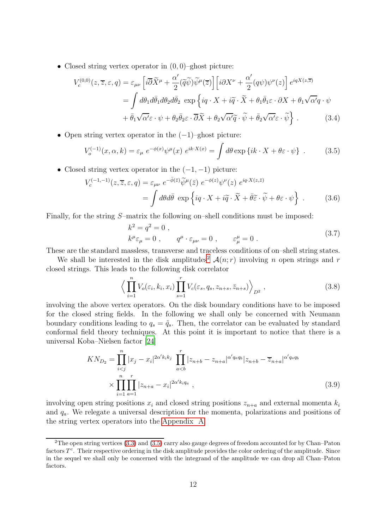• Closed string vertex operator in  $(0, 0)$ –ghost picture:

$$
V_c^{(0,0)}(z,\overline{z},\varepsilon,q) = \varepsilon_{\mu\nu} \left[ i\overline{\partial}\widetilde{X}^{\mu} + \frac{\alpha'}{2} (\widetilde{q}\widetilde{\psi}) \widetilde{\psi}^{\mu}(\overline{z}) \right] \left[ i\partial X^{\nu} + \frac{\alpha'}{2} (q\psi) \psi^{\nu}(z) \right] e^{iqX(z,\overline{z})}
$$
  

$$
= \int d\theta_1 d\overline{\theta}_1 d\theta_2 d\overline{\theta}_2 \exp \left\{ iq \cdot X + i\widetilde{q} \cdot \widetilde{X} + \theta_1 \overline{\theta}_1 \varepsilon \cdot \partial X + \theta_1 \sqrt{\alpha'}q \cdot \psi + \overline{\theta}_1 \sqrt{\alpha'}\varepsilon \cdot \psi + \theta_2 \overline{\theta}_2 \varepsilon \cdot \overline{\partial}\widetilde{X} + \theta_2 \sqrt{\alpha'}\widetilde{q} \cdot \widetilde{\psi} + \overline{\theta}_2 \sqrt{\alpha'}\varepsilon \cdot \widetilde{\psi} \right\}.
$$
 (3.4)

• Open string vertex operator in the  $(-1)$ –ghost picture:

$$
V_o^{(-1)}(x,\alpha,k) = \varepsilon_\mu \ e^{-\phi(x)} \psi^\mu(x) \ e^{ik \cdot X(x)} = \int d\theta \exp\left\{ik \cdot X + \theta \varepsilon \cdot \psi\right\} \ . \tag{3.5}
$$

• Closed string vertex operator in the  $(-1, -1)$  picture:

$$
V_c^{(-1,-1)}(z,\overline{z},\varepsilon,q) = \varepsilon_{\mu\nu} e^{-\bar{\phi}(\overline{z})} \widetilde{\psi}^{\mu}(\overline{z}) e^{-\phi(z)} \psi^{\nu}(z) e^{iq \cdot X(z,\overline{z})}
$$
  
= 
$$
\int d\theta d\bar{\theta} \exp\left\{ iq \cdot X + i\widetilde{q} \cdot \widetilde{X} + \overline{\theta}\widetilde{\varepsilon} \cdot \widetilde{\psi} + \theta\varepsilon \cdot \psi \right\}.
$$
 (3.6)

Finally, for the string S–matrix the following on–shell conditions must be imposed:

<span id="page-11-5"></span><span id="page-11-3"></span><span id="page-11-2"></span><span id="page-11-1"></span>
$$
k^2 = q^2 = 0 ,
$$
  
\n
$$
k^{\mu} \varepsilon_{\mu} = 0 , \qquad q^{\mu} \cdot \varepsilon_{\mu\nu} = 0 , \qquad \varepsilon^{\mu}_{\mu} = 0 .
$$
\n(3.7)

These are the standard massless, transverse and traceless conditions of on–shell string states.

We shall be interested in the disk amplitudes<sup>[2](#page-11-0)</sup>  $\mathcal{A}(n;r)$  involving n open strings and r closed strings. This leads to the following disk correlator

<span id="page-11-4"></span>
$$
\left\langle \prod_{i=1}^{n} V_o(\varepsilon_i, k_i, x_i) \prod_{s=1}^{r} V_c(\varepsilon_s, q_s, z_{n+s}, \bar{z}_{n+s}) \right\rangle_{D^2}, \qquad (3.8)
$$

involving the above vertex operators. On the disk boundary conditions have to be imposed for the closed string fields. In the following we shall only be concerned with Neumann boundary conditions leading to  $q_s = \tilde{q}_s$ . Then, the correlator can be evaluated by standard conformal field theory techniques. At this point it is important to notice that there is a universal Koba–Nielsen factor [\[24](#page-38-6)]

$$
KN_{D_2} = \prod_{i
$$
\times \prod_{i=1}^{n} \prod_{a=1}^{r} |z_{n+a} - x_i|^{2\alpha' k_i q_a} , \qquad (3.9)
$$
$$

involving open string positions  $x_i$  and closed string positions  $z_{n+a}$  and external momenta  $k_i$ and  $q_a$ . We relegate a universal description for the momenta, polarizations and positions of the string vertex operators into the [Appendix A.](#page-34-0)

<span id="page-11-0"></span><sup>2</sup>The open string vertices [\(3.3\)](#page-10-2) and [\(3.5\)](#page-11-1) carry also gauge degrees of freedom accounted for by Chan–Paton factors  $T<sup>c</sup>$ . Their respective ordering in the disk amplitude provides the color ordering of the amplitude. Since in the sequel we shall only be concerned with the integrand of the amplitude we can drop all Chan–Paton factors.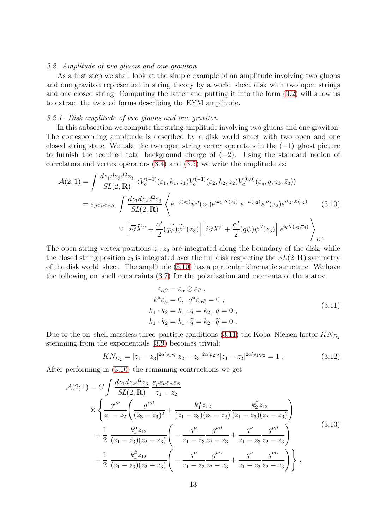## <span id="page-12-0"></span>*3.2. Amplitude of two gluons and one graviton*

As a first step we shall look at the simple example of an amplitude involving two gluons and one graviton represented in string theory by a world–sheet disk with two open strings and one closed string. Computing the latter and putting it into the form [\(3.2\)](#page-10-3) will allow us to extract the twisted forms describing the EYM amplitude.

#### *3.2.1. Disk amplitude of two gluons and one graviton*

In this subsection we compute the string amplitude involving two gluons and one graviton. The corresponding amplitude is described by a disk world–sheet with two open and one closed string state. We take the two open string vertex operators in the  $(-1)$ –ghost picture to furnish the required total background charge of  $(-2)$ . Using the standard notion of correlators and vertex operators  $(3.4)$  and  $(3.5)$  we write the amplitude as:

$$
\mathcal{A}(2;1) = \int \frac{dz_1 dz_2 d^2 z_3}{SL(2,\mathbf{R})} \langle V_o^{(-1)}(\varepsilon_1, k_1, z_1) V_o^{(-1)}(\varepsilon_2, k_2, z_2) V_c^{(0,0)}(\varepsilon_q, q, z_3, \bar{z}_3) \rangle
$$
  
\n
$$
= \varepsilon_{\mu} \varepsilon_{\nu} \varepsilon_{\alpha\beta} \int \frac{dz_1 dz_2 d^2 z_3}{SL(2,\mathbf{R})} \langle e^{-\phi(z_1)} \psi^\mu(z_1) e^{ik_1 \cdot X(z_1)} e^{-\phi(z_2)} \psi^\nu(z_2) e^{ik_2 \cdot X(z_2)} \rangle \langle 3.10 \rangle
$$
  
\n
$$
\times \left[ i \overline{\partial} \widetilde{X}^\alpha + \frac{\alpha'}{2} (q \widetilde{\psi}) \widetilde{\psi}^\alpha(\bar{z}_3) \right] \left[ i \partial X^\beta + \frac{\alpha'}{2} (q \psi) \psi^\beta(z_3) \right] e^{iqX(z_3, \bar{z}_3)} \rangle_{D^2}.
$$

The open string vertex positions  $z_1, z_2$  are integrated along the boundary of the disk, while the closed string position  $z_3$  is integrated over the full disk respecting the  $SL(2,\mathbf{R})$  symmetry of the disk world–sheet. The amplitude [\(3.10\)](#page-12-1) has a particular kinematic structure. We have the following on–shell constraints [\(3.7\)](#page-11-3) for the polarization and momenta of the states:

<span id="page-12-4"></span><span id="page-12-3"></span><span id="page-12-2"></span><span id="page-12-1"></span>
$$
\varepsilon_{\alpha\beta} = \varepsilon_{\alpha} \otimes \varepsilon_{\beta} ,\nk^{\mu} \varepsilon_{\mu} = 0, \quad q^{\alpha} \varepsilon_{\alpha\beta} = 0 ,\nk_1 \cdot k_2 = k_1 \cdot q = k_2 \cdot q = 0 ,\nk_1 \cdot k_2 = k_1 \cdot \widetilde{q} = k_2 \cdot \widetilde{q} = 0 .
$$
\n(3.11)

Due to the on–shell massless three–particle conditions [\(3.11\)](#page-12-2) the Koba–Nielsen factor  $KN_{D_2}$ stemming from the exponentials [\(3.9\)](#page-11-4) becomes trivial:

$$
KN_{D_2} = |z_1 - z_3|^{2\alpha' p_1 \cdot q} |z_2 - z_3|^{2\alpha' p_2 \cdot q} |z_1 - z_2|^{2\alpha' p_1 \cdot p_2} = 1.
$$
 (3.12)

After performing in [\(3.10\)](#page-12-1) the remaining contractions we get

$$
\mathcal{A}(2;1) = C \int \frac{dz_1 dz_2 d^2 z_3}{SL(2,\mathbf{R})} \frac{\varepsilon_{\mu} \varepsilon_{\nu} \varepsilon_{\alpha} \varepsilon_{\beta}}{z_1 - z_2} \times \left\{ \frac{g^{\mu \nu}}{z_1 - z_2} \left( \frac{g^{\alpha \beta}}{(z_3 - \bar{z}_3)^2} + \frac{k_1^{\alpha} z_{12}}{(z_1 - \bar{z}_3)(z_2 - \bar{z}_3)} \frac{k_2^{\beta} z_{12}}{(z_1 - z_3)(z_2 - z_3)} \right) + \frac{1}{2} \frac{k_1^{\alpha} z_{12}}{(z_1 - \bar{z}_3)(z_2 - \bar{z}_3)} \left( -\frac{q^{\mu}}{z_1 - z_3} \frac{g^{\nu \beta}}{z_2 - z_3} + \frac{q^{\nu}}{z_1 - z_3} \frac{g^{\mu \beta}}{z_2 - z_3} \right) + \frac{1}{2} \frac{k_1^{\beta} z_{12}}{(z_1 - z_3)(z_2 - z_3)} \left( -\frac{q^{\mu}}{z_1 - \bar{z}_3} \frac{g^{\nu \alpha}}{z_2 - \bar{z}_3} + \frac{q^{\nu}}{z_1 - \bar{z}_3} \frac{g^{\mu \alpha}}{z_2 - \bar{z}_3} \right) \right\} ,
$$
\n(3.13)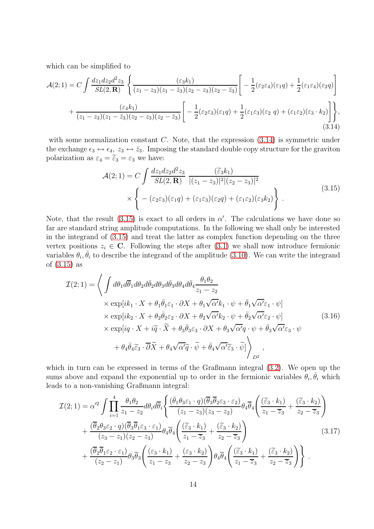which can be simplified to

$$
\mathcal{A}(2;1) = C \int \frac{dz_1 dz_2 d^2 z_3}{SL(2,\mathbf{R})} \left\{ \frac{(\varepsilon_3 k_1)}{(z_1 - z_3)(z_1 - \bar{z}_3)(z_2 - z_3)(z_2 - \bar{z}_3)} \left[ -\frac{1}{2} (\varepsilon_2 \varepsilon_4)(\varepsilon_1 q) + \frac{1}{2} (\varepsilon_1 \varepsilon_4)(\varepsilon_2 q) \right] + \frac{(\varepsilon_4 k_1)}{(z_1 - z_3)(z_1 - \bar{z}_3)(z_2 - z_3)(z_2 - \bar{z}_3)} \left[ -\frac{1}{2} (\varepsilon_2 \varepsilon_3)(\varepsilon_1 q) + \frac{1}{2} (\varepsilon_1 \varepsilon_3)(\varepsilon_2 q) + (\varepsilon_1 \varepsilon_2)(\varepsilon_3 \cdot k_2) \right] \right\},\tag{3.14}
$$

with some normalization constant  $C$ . Note, that the expression  $(3.14)$  is symmetric under the exchange  $\epsilon_3 \leftrightarrow \epsilon_4$ ,  $z_3 \leftrightarrow \bar{z}_3$ . Imposing the standard double copy structure for the graviton polarization as  $\varepsilon_4 = \widetilde{\varepsilon}_3 = \varepsilon_3$  we have:

<span id="page-13-1"></span><span id="page-13-0"></span>
$$
\mathcal{A}(2;1) = C \int \frac{dz_1 dz_2 d^2 z_3}{SL(2,\mathbf{R})} \frac{(\tilde{\varepsilon}_3 k_1)}{|(z_1 - z_3)|^2 |(z_2 - z_3)|^2} \times \left\{ - (\varepsilon_2 \varepsilon_3)(\varepsilon_1 q) + (\varepsilon_1 \varepsilon_3)(\varepsilon_2 q) + (\varepsilon_1 \varepsilon_2)(\varepsilon_3 k_2) \right\}.
$$
\n(3.15)

Note, that the result [\(3.15\)](#page-13-1) is exact to all orders in  $\alpha'$ . The calculations we have done so far are standard string amplitude computations. In the following we shall only be interested in the integrand of [\(3.15\)](#page-13-1) and treat the latter as complex function depending on the three vertex positions  $z_i \in \mathbb{C}$ . Following the steps after [\(3.1\)](#page-10-4) we shall now introduce fermionic variables  $\theta_i$ ,  $\bar{\theta}_i$  to describe the integrand of the amplitude [\(3.10\)](#page-12-1). We can write the integrand of [\(3.15\)](#page-13-1) as

<span id="page-13-2"></span>
$$
\mathcal{I}(2;1) = \left\langle \int d\theta_1 d\overline{\theta}_1 d\theta_2 d\overline{\theta}_2 d\theta_3 d\overline{\theta}_3 d\theta_4 d\overline{\theta}_4 \frac{\theta_1 \theta_2}{z_1 - z_2} \right.\times \exp[i k_1 \cdot X + \theta_1 \overline{\theta}_1 \varepsilon_1 \cdot \partial X + \theta_1 \sqrt{\alpha'} k_1 \cdot \psi + \overline{\theta}_1 \sqrt{\alpha'} \varepsilon_1 \cdot \psi] \times \exp[i k_2 \cdot X + \theta_2 \overline{\theta}_2 \varepsilon_2 \cdot \partial X + \theta_2 \sqrt{\alpha'} k_2 \cdot \psi + \overline{\theta}_2 \sqrt{\alpha'} \varepsilon_2 \cdot \psi] \times \exp[i q \cdot X + i \widetilde{q} \cdot \widetilde{X} + \theta_3 \overline{\theta}_3 \varepsilon_3 \cdot \partial X + \theta_3 \sqrt{\alpha'} q \cdot \psi + \overline{\theta}_3 \sqrt{\alpha'} \varepsilon_3 \cdot \psi + \theta_4 \overline{\theta}_4 \widetilde{\varepsilon}_3 \cdot \overline{\partial} \widetilde{X} + \theta_4 \sqrt{\alpha'} \widetilde{q} \cdot \widetilde{\psi} + \overline{\theta}_4 \sqrt{\alpha'} \widetilde{\varepsilon}_3 \cdot \widetilde{\psi}]\right\rangle_{D^2},
$$
\n(3.16)

which in turn can be expressed in terms of the Graßmann integral [\(3.2\)](#page-10-3). We open up the sums above and expand the exponential up to order in the fermionic variables  $\hat{\theta}_i$ ,  $\bar{\theta}_i$  which leads to a non-vanishing Graßmann integral:

<span id="page-13-3"></span>
$$
\mathcal{I}(2;1) = \alpha'^2 \int \prod_{i=1}^4 \frac{\theta_1 \theta_2}{z_1 - z_2} d\theta_i d\overline{\theta}_i \left\{ \frac{(\bar{\theta}_1 \theta_3 \varepsilon_1 \cdot q)(\overline{\theta}_3 \overline{\theta}_2 \varepsilon_3 \cdot \varepsilon_2)}{(z_1 - z_3)(z_3 - z_2)} \theta_4 \overline{\theta}_4 \left( \frac{(\tilde{\varepsilon}_3 \cdot k_1)}{z_1 - \overline{z}_3} + \frac{(\tilde{\varepsilon}_3 \cdot k_2)}{z_2 - \overline{z}_3} \right) + \frac{(\overline{\theta}_2 \theta_3 \varepsilon_2 \cdot q)(\overline{\theta}_3 \overline{\theta}_1 \varepsilon_3 \cdot \varepsilon_1)}{(z_3 - z_1)(z_2 - z_3)} \theta_4 \overline{\theta}_4 \left( \frac{(\tilde{\varepsilon}_3 \cdot k_1)}{z_1 - \overline{z}_3} + \frac{(\tilde{\varepsilon}_3 \cdot k_2)}{z_2 - \overline{z}_3} \right) + \frac{(\overline{\theta}_2 \overline{\theta}_1 \varepsilon_2 \cdot \varepsilon_1)}{(z_2 - z_1)} \theta_3 \overline{\theta}_3 \left( \frac{(\varepsilon_3 \cdot k_1)}{z_1 - z_3} + \frac{(\varepsilon_3 \cdot k_2)}{z_2 - z_3} \right) \theta_4 \overline{\theta}_4 \left( \frac{(\tilde{\varepsilon}_3 \cdot k_1)}{z_1 - \overline{z}_3} + \frac{(\tilde{\varepsilon}_3 \cdot k_2)}{z_2 - \overline{z}_3} \right) \right\}.
$$
\n(3.17)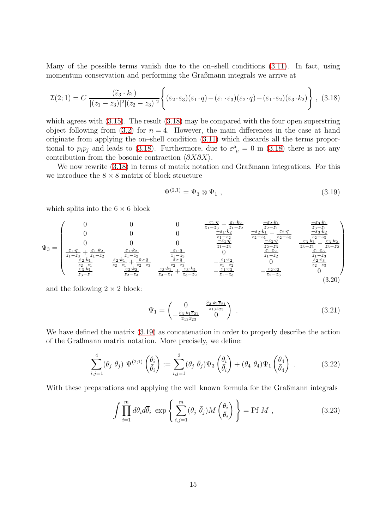Many of the possible terms vanish due to the on–shell conditions [\(3.11\)](#page-12-2). In fact, using momentum conservation and performing the Graßmann integrals we arrive at

$$
\mathcal{I}(2;1) = C \frac{(\tilde{\varepsilon}_3 \cdot k_1)}{|(z_1 - z_3)|^2 |(z_2 - z_3)|^2} \left\{ (\varepsilon_2 \cdot \varepsilon_3)(\varepsilon_1 \cdot q) - (\varepsilon_1 \cdot \varepsilon_3)(\varepsilon_2 \cdot q) - (\varepsilon_1 \cdot \varepsilon_2)(\varepsilon_3 \cdot k_2) \right\}, (3.18)
$$

which agrees with  $(3.15)$ . The result  $(3.18)$  may be compared with the four open superstring object following from [\(3.2\)](#page-10-3) for  $n = 4$ . However, the main differences in the case at hand originate from applying the on–shell condition [\(3.11\)](#page-12-2) which discards all the terms proportional to  $p_i p_j$  and leads to [\(3.18\)](#page-14-0). Furthermore, due to  $\varepsilon^{\mu}_{\mu} = 0$  in (3.18) there is not any contribution from the bosonic contraction  $\langle \partial X \partial X \rangle$ .

We now rewrite  $(3.18)$  in terms of matrix notation and Graßmann integrations. For this we introduce the  $8 \times 8$  matrix of block structure

<span id="page-14-3"></span><span id="page-14-1"></span><span id="page-14-0"></span>
$$
\Psi^{(2,1)} = \Psi_3 \otimes \Psi_1 \;, \tag{3.19}
$$

which splits into the  $6 \times 6$  block

$$
\Psi_{3} = \begin{pmatrix}\n0 & 0 & 0 & \frac{-\varepsilon_{1} \cdot q}{z_{1} - z_{3}} - \frac{\varepsilon_{1} \cdot k_{2}}{z_{1} - z_{2}} & \frac{-\varepsilon_{2} \cdot k_{1}}{z_{2} - z_{1}} & \frac{-\varepsilon_{3} \cdot k_{1}}{z_{3} - z_{1}} \\
0 & 0 & 0 & \frac{-\varepsilon_{1} \cdot k_{2}}{z_{1} - z_{2}} & \frac{-\varepsilon_{2} \cdot k_{1}}{z_{2} - z_{1}} - \frac{\varepsilon_{2} \cdot k_{1}}{z_{2} - z_{3}} & \frac{-\varepsilon_{3} \cdot k_{2}}{z_{3} - z_{1}} \\
\frac{\varepsilon_{1} \cdot q}{z_{1} - z_{3}} + \frac{\varepsilon_{1} \cdot k_{2}}{z_{1} - z_{2}} & \frac{\varepsilon_{1} \cdot k_{2}}{z_{1} - z_{2}} & \frac{\varepsilon_{1} \cdot q}{z_{1} - z_{3}} & 0 & \frac{-\varepsilon_{1} \cdot q}{z_{1} - z_{3}} & \frac{-\varepsilon_{3} \cdot k_{1}}{z_{3} - z_{1}} - \frac{\varepsilon_{3} \cdot k_{2}}{z_{3} - z_{1}} \\
\frac{\varepsilon_{2} \cdot k_{1}}{z_{2} - z_{1}} & \frac{\varepsilon_{2} \cdot k_{1}}{z_{2} - z_{1}} + \frac{\varepsilon_{2} \cdot q}{z_{2} - z_{3}} & \frac{\varepsilon_{2} \cdot q}{z_{2} - z_{3}} & -\frac{\varepsilon_{1} \cdot \varepsilon_{2}}{z_{1} - z_{2}} & 0 & \frac{\varepsilon_{1} \cdot \varepsilon_{3}}{z_{1} - z_{3}} \\
\frac{\varepsilon_{3} \cdot k_{1}}{z_{3} - z_{1}} & \frac{\varepsilon_{3} \cdot k_{2}}{z_{2} - z_{3}} & \frac{\varepsilon_{3} \cdot k_{1}}{z_{3} - z_{1}} + \frac{\varepsilon_{3} \cdot k_{2}}{z_{3} - z_{2}} & -\frac{\varepsilon_{1} \cdot \varepsilon_{3}}{z_{1} - z_{3}} & -\frac{\varepsilon_{2} \cdot \varepsilon_{3}}{z_{1} - z_{3}} & 0 & \frac{\varepsilon_{2} \cdot \varepsilon
$$

and the following  $2 \times 2$  block:

<span id="page-14-4"></span><span id="page-14-2"></span>
$$
\Psi_1 = \begin{pmatrix} 0 & \frac{\tilde{\varepsilon}_3 \cdot k_1 \overline{z}_{21}}{\overline{z}_{13} \overline{z}_{23}} \\ -\frac{\tilde{\varepsilon}_3 \cdot k_1 \overline{z}_{21}}{\overline{z}_{13} \overline{z}_{23}} & 0 \end{pmatrix} . \tag{3.21}
$$

We have defined the matrix [\(3.19\)](#page-14-1) as concatenation in order to properly describe the action of the Graßmann matrix notation. More precisely, we define:

$$
\sum_{i,j=1}^4 (\theta_j \overline{\theta}_j) \Psi^{(2;1)}\left(\frac{\theta_i}{\overline{\theta}_i}\right) := \sum_{i,j=1}^3 (\theta_j \overline{\theta}_j) \Psi_3\left(\frac{\theta_i}{\overline{\theta}_i}\right) + (\theta_4 \overline{\theta}_4) \Psi_1\left(\frac{\theta_4}{\overline{\theta}_4}\right) . \tag{3.22}
$$

With these preparations and applying the well–known formula for the Graßmann integrals

$$
\int \prod_{i=1}^{m} d\theta_i d\overline{\theta}_i \, \exp\left\{ \sum_{i,j=1}^{m} (\theta_j \, \overline{\theta}_j) M \left( \frac{\theta_i}{\overline{\theta}_i} \right) \right\} = \text{Pf } M \;, \tag{3.23}
$$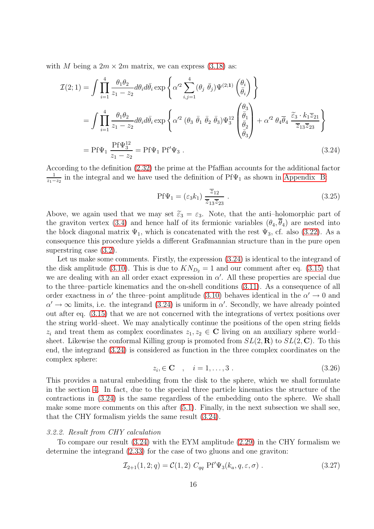with M being a  $2m \times 2m$  matrix, we can express [\(3.18\)](#page-14-0) as:

$$
\mathcal{I}(2;1) = \int \prod_{i=1}^{4} \frac{\theta_1 \theta_2}{z_1 - z_2} d\theta_i d\bar{\theta}_i \exp\left\{ \alpha'^2 \sum_{i,j=1}^{4} (\theta_j \bar{\theta}_j) \Psi^{(2;1)} \left( \frac{\theta_i}{\bar{\theta}_i} \right) \right\}
$$
  
\n
$$
= \int \prod_{i=1}^{4} \frac{\theta_1 \theta_2}{z_1 - z_2} d\theta_i d\bar{\theta}_i \exp\left\{ \alpha'^2 (\theta_3 \bar{\theta}_1 \bar{\theta}_2 \bar{\theta}_3) \Psi_3^{12} \left( \frac{\theta_3}{\bar{\theta}_1} \right) + \alpha'^2 \theta_4 \bar{\theta}_4 \frac{\tilde{\epsilon}_3 \cdot k_1 \overline{z}_{21}}{\overline{z}_{13} \overline{z}_{23}} \right\}
$$
  
\n
$$
= \text{Pf}\Psi_1 \frac{\text{Pf}\Psi_3^{12}}{z_1 - z_2} = \text{Pf}\Psi_1 \text{Pf}'\Psi_3 . \tag{3.24}
$$

According to the definition [\(2.32\)](#page-9-3) the prime at the Pfaffian accounts for the additional factor 1  $\frac{1}{z_1-z_2}$  in the integral and we have used the definition of Pf $\Psi_1$  as shown in [Appendix B:](#page-35-0)

<span id="page-15-0"></span>
$$
Pf\Psi_1 = (\varepsilon_3 k_1) \frac{\overline{z}_{12}}{\overline{z}_{13}\overline{z}_{23}}.
$$
\n(3.25)

Above, we again used that we may set  $\tilde{\varepsilon}_3 = \varepsilon_3$ . Note, that the anti-holomorphic part of the graviton vertex [\(3.4\)](#page-11-2) and hence half of its fermionic variables  $(\theta_4, \overline{\theta}_4)$  are nested into the block diagonal matrix  $\Psi_1$ , which is concatenated with the rest  $\Psi_3$ , cf. also [\(3.22\)](#page-14-2). As a consequence this procedure yields a different Graßmannian structure than in the pure open superstring case  $(3.2)$ .

Let us make some comments. Firstly, the expression [\(3.24\)](#page-15-0) is identical to the integrand of the disk amplitude [\(3.10\)](#page-12-1). This is due to  $KN_{D_2} = 1$  and our comment after eq. [\(3.15\)](#page-13-1) that we are dealing with an all order exact expression in  $\alpha'$ . All these properties are special due to the three–particle kinematics and the on-shell conditions [\(3.11\)](#page-12-2). As a consequence of all order exactness in  $\alpha'$  the three-point amplitude [\(3.10\)](#page-12-1) behaves identical in the  $\alpha' \to 0$  and  $\alpha' \to \infty$  limits, i.e. the integrand [\(3.24\)](#page-15-0) is uniform in  $\alpha'$ . Secondly, we have already pointed out after eq. [\(3.15\)](#page-13-1) that we are not concerned with the integrations of vertex positions over the string world–sheet. We may analytically continue the positions of the open string fields  $z_i$  and treat them as complex coordinates  $z_1, z_2 \in \mathbb{C}$  living on an auxiliary sphere world– sheet. Likewise the conformal Killing group is promoted from  $SL(2,\mathbf{R})$  to  $SL(2,\mathbf{C})$ . To this end, the integrand [\(3.24\)](#page-15-0) is considered as function in the three complex coordinates on the complex sphere:

<span id="page-15-2"></span><span id="page-15-1"></span>
$$
z_i \in \mathbf{C} \quad , \quad i = 1, \dots, 3 \tag{3.26}
$$

This provides a natural embedding from the disk to the sphere, which we shall formulate in the section [4.](#page-18-0) In fact, due to the special three particle kinematics the structure of the contractions in [\(3.24\)](#page-15-0) is the same regardless of the embedding onto the sphere. We shall make some more comments on this after [\(5.1\)](#page-21-1). Finally, in the next subsection we shall see, that the CHY formalism yields the same result [\(3.24\)](#page-15-0).

#### *3.2.2. Result from CHY calculation*

To compare our result [\(3.24\)](#page-15-0) with the EYM amplitude [\(2.29\)](#page-9-0) in the CHY formalism we determine the integrand [\(2.33\)](#page-9-4) for the case of two gluons and one graviton:

$$
\mathcal{I}_{2+1}(1,2;q) = \mathcal{C}(1,2) \ C_{qq} \ \Pr' \Psi_3(k_a, q, \varepsilon, \sigma) \ . \tag{3.27}
$$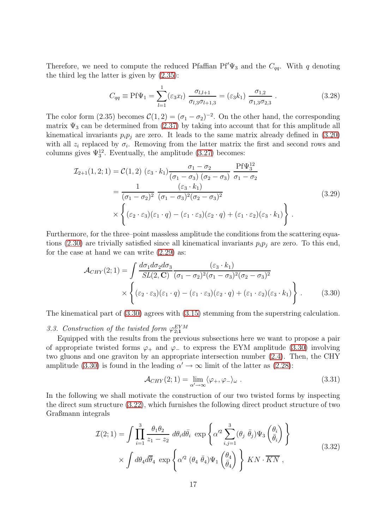Therefore, we need to compute the reduced Pfaffian Pf' $\Psi_3$  and the  $C_{qq}$ . With q denoting the third leg the latter is given by [\(2.35\)](#page-9-5):

<span id="page-16-3"></span>
$$
C_{qq} \equiv \text{Pf}\Psi_1 = \sum_{l=1}^1 (\varepsilon_3 x_l) \frac{\sigma_{l,l+1}}{\sigma_{l,3}\sigma_{l+1,3}} = (\varepsilon_3 k_1) \frac{\sigma_{1,2}}{\sigma_{1,3}\sigma_{2,3}} . \tag{3.28}
$$

The color form (2.35) becomes  $C(1, 2) = (\sigma_1 - \sigma_2)^{-2}$ . On the other hand, the corresponding matrix  $\Psi_3$  can be determined from [\(2.37\)](#page-10-5) by taking into account that for this amplitude all kinematical invariants  $p_i p_j$  are zero. It leads to the same matrix already defined in [\(3.20\)](#page-14-3) with all  $z_i$  replaced by  $\sigma_i$ . Removing from the latter matrix the first and second rows and columns gives  $\Psi_3^{12}$ . Eventually, the amplitude [\(3.27\)](#page-15-1) becomes:

$$
\mathcal{I}_{2+1}(1,2;1) = \mathcal{C}(1,2) \left(\varepsilon_3 \cdot k_1\right) \frac{\sigma_1 - \sigma_2}{(\sigma_1 - \sigma_3) \left(\sigma_2 - \sigma_3\right)} \frac{\text{Pf}\Psi_3^{12}}{\sigma_1 - \sigma_2}
$$
\n
$$
= \frac{1}{(\sigma_1 - \sigma_2)^2} \frac{\left(\varepsilon_3 \cdot k_1\right)}{(\sigma_1 - \sigma_3)^2 (\sigma_2 - \sigma_3)^2}
$$
\n
$$
\times \left\{ \left(\varepsilon_2 \cdot \varepsilon_3\right) \left(\varepsilon_1 \cdot q\right) - \left(\varepsilon_1 \cdot \varepsilon_3\right) \left(\varepsilon_2 \cdot q\right) + \left(\varepsilon_1 \cdot \varepsilon_2\right) \left(\varepsilon_3 \cdot k_1\right) \right\} .
$$
\n(3.29)

Furthermore, for the three–point massless amplitude the conditions from the scattering equa-tions [\(2.30\)](#page-9-6) are trivially satisfied since all kinematical invariants  $p_i p_j$  are zero. To this end, for the case at hand we can write [\(2.29\)](#page-9-0) as:

$$
\mathcal{A}_{CHY}(2;1) = \int \frac{d\sigma_1 d\sigma_2 d\sigma_3}{SL(2,\mathbf{C})} \frac{(\varepsilon_3 \cdot k_1)}{(\sigma_1 - \sigma_2)^2 (\sigma_1 - \sigma_3)^2 (\sigma_2 - \sigma_3)^2} \times \left\{ (\varepsilon_2 \cdot \varepsilon_3)(\varepsilon_1 \cdot q) - (\varepsilon_1 \cdot \varepsilon_3)(\varepsilon_2 \cdot q) + (\varepsilon_1 \cdot \varepsilon_2)(\varepsilon_3 \cdot k_1) \right\}.
$$
 (3.30)

<span id="page-16-0"></span>The kinematical part of [\(3.30\)](#page-16-1) agrees with [\(3.15\)](#page-13-1) stemming from the superstring calculation.

3.3. Construction of the twisted form  $\varphi_{2;1}^{EYM}$ 

Equipped with the results from the previous subsections here we want to propose a pair of appropriate twisted forms  $\varphi_+$  and  $\varphi_-$  to express the EYM amplitude [\(3.30\)](#page-16-1) involving two gluons and one graviton by an appropriate intersection number [\(2.4\)](#page-4-4). Then, the CHY amplitude [\(3.30\)](#page-16-1) is found in the leading  $\alpha' \to \infty$  limit of the latter as [\(2.28\)](#page-8-4):

<span id="page-16-1"></span>
$$
\mathcal{A}_{CHY}(2;1) = \lim_{\alpha' \to \infty} \langle \varphi_+, \varphi_- \rangle_{\omega} . \tag{3.31}
$$

In the following we shall motivate the construction of our two twisted forms by inspecting the direct sum structure [\(3.22\)](#page-14-2), which furnishes the following direct product structure of two Graßmann integrals

<span id="page-16-2"></span>
$$
\mathcal{I}(2;1) = \int \prod_{i=1}^{3} \frac{\theta_1 \theta_2}{z_1 - z_2} d\theta_i d\bar{\theta}_i \exp\left\{ \alpha'^2 \sum_{i,j=1}^{3} (\theta_j \ \bar{\theta}_j) \Psi_3 \left( \frac{\theta_i}{\bar{\theta}_i} \right) \right\} \times \int d\theta_4 d\bar{\theta}_4 \exp\left\{ \alpha'^2 (\theta_4 \ \bar{\theta}_4) \Psi_1 \left( \frac{\theta_4}{\bar{\theta}_4} \right) \right\} KN \cdot \overline{KN} ,
$$
\n(3.32)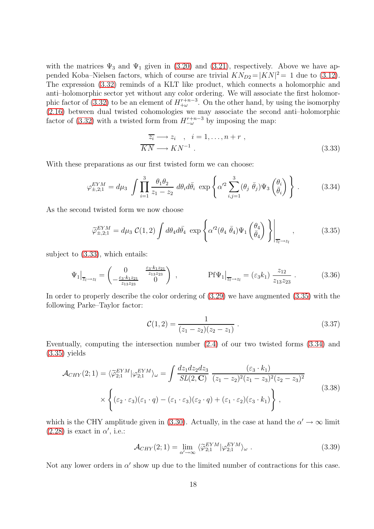with the matrices  $\Psi_3$  and  $\Psi_1$  given in [\(3.20\)](#page-14-3) and [\(3.21\)](#page-14-4), respectively. Above we have appended Koba–Nielsen factors, which of course are trivial  $KN_{D2} = |KN|^2 = 1$  due to [\(3.12\)](#page-12-3). The expression [\(3.32\)](#page-16-2) reminds of a KLT like product, which connects a holomorphic and anti–holomorphic sector yet without any color ordering. We will associate the first holomor-phic factor of [\(3.32\)](#page-16-2) to be an element of  $H_{+\omega}^{r+n-3}$ . On the other hand, by using the isomorphy [\(2.16\)](#page-6-4) between dual twisted cohomologies we may associate the second anti–holomorphic factor of [\(3.32\)](#page-16-2) with a twisted form from  $H^{r+n-3}_{-\omega}$  by imposing the map:

<span id="page-17-2"></span><span id="page-17-1"></span><span id="page-17-0"></span>
$$
\overline{z_i} \longrightarrow z_i \quad , \quad i = 1, \dots, n + r \; ,
$$
  
\n
$$
\overline{KN} \longrightarrow KN^{-1} \; .
$$
\n(3.33)

With these preparations as our first twisted form we can choose:

$$
\varphi_{\pm,2;1}^{EYM} = d\mu_3 \int \prod_{i=1}^3 \frac{\theta_1 \theta_2}{z_1 - z_2} d\theta_i d\bar{\theta}_i \exp\left\{ \alpha'^2 \sum_{i,j=1}^3 (\theta_j \bar{\theta}_j) \Psi_3 \left( \frac{\theta_i}{\bar{\theta}_i} \right) \right\}.
$$
 (3.34)

As the second twisted form we now choose

$$
\widetilde{\varphi}_{\pm,2;1}^{EYM} = d\mu_3 \mathcal{C}(1,2) \int d\theta_4 d\bar{\theta}_4 \, \exp\left\{ \alpha'^2 (\theta_4 \, \bar{\theta}_4) \Psi_1 \left( \frac{\theta_4}{\bar{\theta}_4} \right) \right\} \bigg|_{\overline{z_l} \to z_l},\tag{3.35}
$$

subject to [\(3.33\)](#page-17-0), which entails:

$$
\Psi_1\big|_{\overline{z}_l \to z_l} = \begin{pmatrix} 0 & \frac{\varepsilon_3 \cdot k_1 z_{21}}{z_{13} z_{23}} \\ -\frac{\varepsilon_3 \cdot k_1 z_{21}}{z_{13} z_{23}} & 0 \end{pmatrix} , \qquad \text{Pf}\Psi_1\big|_{\overline{z}_l \to z_l} = (\varepsilon_3 k_1) \frac{z_{12}}{z_{13} z_{23}} . \tag{3.36}
$$

In order to properly describe the color ordering of [\(3.29\)](#page-16-3) we have augmented [\(3.35\)](#page-17-1) with the following Parke–Taylor factor:

<span id="page-17-4"></span>
$$
\mathcal{C}(1,2) = \frac{1}{(z_1 - z_2)(z_2 - z_1)}.
$$
\n(3.37)

Eventually, computing the intersection number [\(2.4\)](#page-4-4) of our two twisted forms [\(3.34\)](#page-17-2) and [\(3.35\)](#page-17-1) yields

<span id="page-17-3"></span>
$$
\mathcal{A}_{CHY}(2;1) = \langle \widetilde{\varphi}_{2;1}^{EYM} | \varphi_{2;1}^{EYM} \rangle_{\omega} = \int \frac{dz_1 dz_2 dz_3}{SL(2,\mathbf{C})} \frac{(\varepsilon_3 \cdot k_1)}{(z_1 - z_2)^2 (z_1 - z_3)^2 (z_2 - z_3)^2} \times \left\{ (\varepsilon_2 \cdot \varepsilon_3)(\varepsilon_1 \cdot q) - (\varepsilon_1 \cdot \varepsilon_3)(\varepsilon_2 \cdot q) + (\varepsilon_1 \cdot \varepsilon_2)(\varepsilon_3 \cdot k_1) \right\},
$$
\n(3.38)

which is the CHY amplitude given in [\(3.30\)](#page-16-1). Actually, in the case at hand the  $\alpha' \to \infty$  limit  $(2.28)$  is exact in  $\alpha'$ , i.e.:

$$
\mathcal{A}_{CHY}(2;1) = \lim_{\alpha' \to \infty} \langle \widetilde{\varphi}_{2;1}^{EYM} | \varphi_{2;1}^{EYM} \rangle_{\omega} . \tag{3.39}
$$

Not any lower orders in  $\alpha'$  show up due to the limited number of contractions for this case.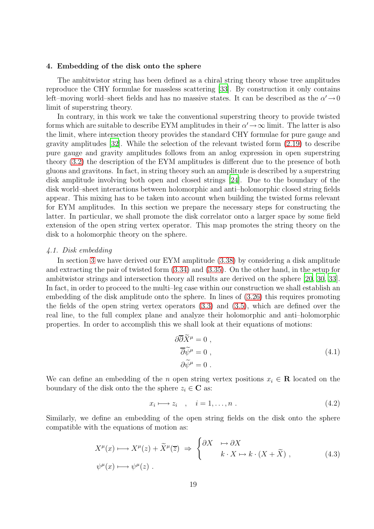#### <span id="page-18-0"></span>4. Embedding of the disk onto the sphere

The ambitwistor string has been defined as a chiral string theory whose tree amplitudes reproduce the CHY formulae for massless scattering [\[33\]](#page-38-15). By construction it only contains left–moving world–sheet fields and has no massive states. It can be described as the  $\alpha' \rightarrow 0$ limit of superstring theory.

In contrary, in this work we take the conventional superstring theory to provide twisted forms which are suitable to describe EYM amplitudes in their  $\alpha' \rightarrow \infty$  limit. The latter is also the limit, where intersection theory provides the standard CHY formulae for pure gauge and gravity amplitudes [\[32\]](#page-38-14). While the selection of the relevant twisted form [\(2.19\)](#page-7-1) to describe pure gauge and gravity amplitudes follows from an anlog expression in open superstring theory [\(3.2\)](#page-10-3) the description of the EYM amplitudes is different due to the presence of both gluons and gravitons. In fact, in string theory such an amplitude is described by a superstring disk amplitude involving both open and closed strings [\[24\]](#page-38-6). Due to the boundary of the disk world–sheet interactions between holomorphic and anti–holomorphic closed string fields appear. This mixing has to be taken into account when building the twisted forms relevant for EYM amplitudes. In this section we prepare the necessary steps for constructing the latter. In particular, we shall promote the disk correlator onto a larger space by some field extension of the open string vertex operator. This map promotes the string theory on the disk to a holomorphic theory on the sphere.

#### <span id="page-18-1"></span>*4.1. Disk embedding*

In section [3](#page-10-0) we have derived our EYM amplitude [\(3.38\)](#page-17-3) by considering a disk amplitude and extracting the pair of twisted form [\(3.34\)](#page-17-2) and [\(3.35\)](#page-17-1). On the other hand, in the setup for ambitwistor strings and intersection theory all results are derived on the sphere [\[20](#page-38-2), [30](#page-38-12), [33\]](#page-38-15). In fact, in order to proceed to the multi–leg case within our construction we shall establish an embedding of the disk amplitude onto the sphere. In lines of [\(3.26\)](#page-15-2) this requires promoting the fields of the open string vertex operators [\(3.3\)](#page-10-2) and [\(3.5\)](#page-11-1), which are defined over the real line, to the full complex plane and analyze their holomorphic and anti–holomorphic properties. In order to accomplish this we shall look at their equations of motions:

$$
\partial \overline{\partial} \widetilde{X}^{\mu} = 0 ,\n\overline{\partial} \widetilde{\psi}^{\mu} = 0 ,\n\partial \widetilde{\psi}^{\mu} = 0 .
$$
\n(4.1)

We can define an embedding of the n open string vertex positions  $x_i \in \mathbb{R}$  located on the boundary of the disk onto the the sphere  $z_i \in \mathbb{C}$  as:

$$
x_i \longmapsto z_i \quad , \quad i = 1, \dots, n \tag{4.2}
$$

Similarly, we define an embedding of the open string fields on the disk onto the sphere compatible with the equations of motion as:

$$
X^{\mu}(x) \longrightarrow X^{\mu}(z) + \tilde{X}^{\mu}(\overline{z}) \implies \begin{cases} \partial X & \mapsto \partial X \\ k \cdot X \mapsto k \cdot (X + \tilde{X}) \end{cases}, \tag{4.3}
$$
  

$$
\psi^{\mu}(x) \longmapsto \psi^{\mu}(z) .
$$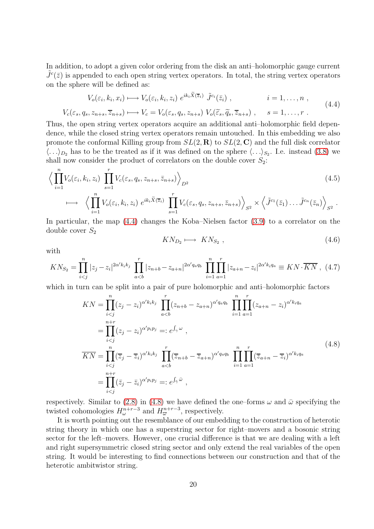In addition, to adopt a given color ordering from the disk an anti–holomorphic gauge current  $\tilde{J}^c(\bar{z})$  is appended to each open string vertex operators. In total, the string vertex operators on the sphere will be defined as:

<span id="page-19-0"></span>
$$
V_o(\varepsilon_i, k_i, x_i) \longmapsto V_o(\varepsilon_i, k_i, z_i) e^{ik_i \tilde{X}(\overline{z}_i)} \tilde{J}^{c_i}(\overline{z}_i) , \qquad i = 1, ..., n ,
$$
  

$$
V_c(\varepsilon_s, q_s, z_{n+s}, \overline{z}_{n+s}) \longmapsto V_c = V_o(\varepsilon_s, q_s, z_{n+s}) V_o(\widetilde{\varepsilon}_s, \widetilde{q}_s, \overline{z}_{n+s}) , \qquad s = 1, ..., r .
$$
 (4.4)

Thus, the open string vertex operators acquire an additional anti–holomorphic field dependence, while the closed string vertex operators remain untouched. In this embedding we also promote the conformal Killing group from  $SL(2,\mathbf{R})$  to  $SL(2,\mathbf{C})$  and the full disk correlator  $\langle \ldots \rangle_{D_2}$  has to be the treated as if it was defined on the sphere  $\langle \ldots \rangle_{S_2}$ . I.e. instead [\(3.8\)](#page-11-5) we shall now consider the product of correlators on the double cover  $S_2$ :

$$
\left\langle \prod_{i=1}^{n} V_o(\varepsilon_i, k_i, z_i) \prod_{s=1}^{r} V_c(\varepsilon_s, q_s, z_{n+s}, \overline{z}_{n+s}) \right\rangle_{D^2}
$$
\n
$$
\longmapsto \left\langle \prod_{i=1}^{n} V_o(\varepsilon_i, k_i, z_i) e^{ik_i \widetilde{X}(\overline{z}_i)} \prod_{s=1}^{r} V_c(\varepsilon_s, q_s, z_{n+s}, \overline{z}_{n+s}) \right\rangle_{S^2} \times \left\langle \widetilde{J}^{c_1}(\overline{z}_1) \dots \widetilde{J}^{c_n}(\overline{z}_n) \right\rangle_{S^2}.
$$
\n(4.5)

In particular, the map [\(4.4\)](#page-19-0) changes the Koba–Nielsen factor [\(3.9\)](#page-11-4) to a correlator on the double cover  $S_2$ 

<span id="page-19-2"></span><span id="page-19-1"></span>
$$
KN_{D_2} \longmapsto KN_{S_2} \t{,} \t(4.6)
$$

with

$$
KN_{S_2} = \prod_{i < j}^n |z_j - z_i|^{2\alpha' k_i k_j} \prod_{a < b}^r |z_{n+b} - z_{a+n}|^{2\alpha' q_a q_b} \prod_{i=1}^n \prod_{a=1}^r |z_{a+n} - z_i|^{2\alpha' k_i q_a} \equiv KN \cdot \overline{KN}, \tag{4.7}
$$

which in turn can be split into a pair of pure holomorphic and anti–holomorphic factors

$$
KN = \prod_{i  
\n
$$
= \prod_{i  
\n
$$
\overline{KN} = \prod_{i  
\n
$$
= \prod_{i\n(4.8)
$$
$$
$$
$$

respectively. Similar to [\(2.8\)](#page-5-1) in [\(4.8\)](#page-19-1) we have defined the one–forms  $\omega$  and  $\bar{\omega}$  specifying the twisted cohomologies  $H^{n+r-3}_{\omega}$  and  $H^{n+r-3}_{\overline{\omega}}$ , respectively.

It is worth pointing out the resemblance of our embedding to the construction of heterotic string theory in which one has a superstring sector for right–movers and a bosonic string sector for the left–movers. However, one crucial difference is that we are dealing with a left and right supersymmetric closed string sector and only extend the real variables of the open string. It would be interesting to find connections between our construction and that of the heterotic ambitwistor string.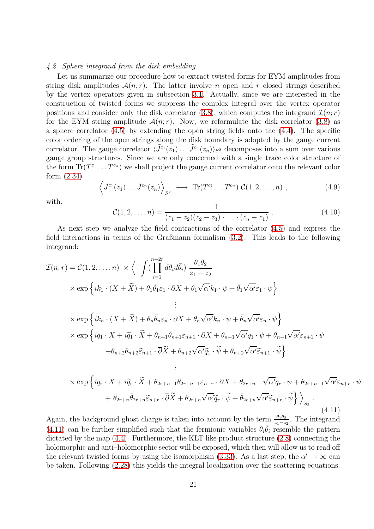#### <span id="page-20-0"></span>*4.2. Sphere integrand from the disk embedding*

Let us summarize our procedure how to extract twisted forms for EYM amplitudes from string disk amplitudes  $\mathcal{A}(n;r)$ . The latter involve *n* open and *r* closed strings described by the vertex operators given in subsection [3.1.](#page-10-1) Actually, since we are interested in the construction of twisted forms we suppress the complex integral over the vertex operator positions and consider only the disk correlator [\(3.8\)](#page-11-5), which computes the integrand  $\mathcal{I}(n; r)$ for the EYM string amplitude  $\mathcal{A}(n;r)$ . Now, we reformulate the disk correlator [\(3.8\)](#page-11-5) as a sphere correlator [\(4.5\)](#page-19-2) by extending the open string fields onto the [\(4.4\)](#page-19-0). The specific color ordering of the open strings along the disk boundary is adopted by the gauge current correlator. The gauge correlator  $\langle \tilde{J}^{c_1}(\bar{z}_1) \dots \tilde{J}^{c_n}(\bar{z}_n) \rangle_{S^2}$  decomposes into a sum over various gauge group structures. Since we are only concerned with a single trace color structure of the form  $\text{Tr}(T^{c_1} \dots T^{c_n})$  we shall project the gauge current correlator onto the relevant color form [\(2.34\)](#page-9-7)

$$
\left\langle \tilde{J}^{c_1}(\bar{z}_1) \dots \tilde{J}^{c_n}(\bar{z}_n) \right\rangle_{S^2} \longrightarrow \text{Tr}(T^{c_1} \dots T^{c_n}) \mathcal{C}(1,2,\dots,n) , \qquad (4.9)
$$

<span id="page-20-2"></span>with:

$$
\mathcal{C}(1,2,\ldots,n) = \frac{1}{(\bar{z}_1 - \bar{z}_2)(\bar{z}_2 - \bar{z}_3)\cdot\ldots\cdot(\bar{z}_n - \bar{z}_1)}.
$$
\n(4.10)

<span id="page-20-1"></span>As next step we analyze the field contractions of the correlator [\(4.5\)](#page-19-2) and express the field interactions in terms of the Graßmann formalism [\(3.2\)](#page-10-3). This leads to the following integrand:

$$
\mathcal{I}(n;r) = \mathcal{C}(1,2,\ldots,n) \times \Big\langle \int (\prod_{i=1}^{n+2r} d\theta_i d\bar{\theta}_i) \frac{\theta_1 \theta_2}{z_1 - z_2} \times \exp\Big\{ i k_1 \cdot (X + \tilde{X}) + \theta_1 \bar{\theta_1} \varepsilon_1 \cdot \partial X + \theta_1 \sqrt{\alpha'} k_1 \cdot \psi + \bar{\theta_1} \sqrt{\alpha'} \varepsilon_1 \cdot \psi \Big\}
$$
\n
$$
\vdots
$$
\n
$$
\times \exp\Big\{ i k_n \cdot (X + \tilde{X}) + \theta_n \bar{\theta}_n \varepsilon_n \cdot \partial X + \theta_n \sqrt{\alpha'} k_n \cdot \psi + \bar{\theta}_n \sqrt{\alpha'} \varepsilon_n \cdot \psi \Big\}
$$
\n
$$
\times \exp\Big\{ i q_1 \cdot X + i \tilde{q}_1 \cdot \tilde{X} + \theta_{n+1} \bar{\theta}_{n+1} \varepsilon_{n+1} \cdot \partial X + \theta_{n+1} \sqrt{\alpha'} q_1 \cdot \psi + \bar{\theta}_{n+1} \sqrt{\alpha'} \varepsilon_{n+1} \cdot \psi + \theta_{n+2} \bar{\theta}_{n+2} \tilde{\varepsilon}_{n+1} \cdot \bar{\partial} \tilde{X} + \theta_{n+2} \sqrt{\alpha'} \tilde{q}_1 \cdot \tilde{\psi} + \bar{\theta}_{n+2} \sqrt{\alpha'} \tilde{\varepsilon}_{n+1} \cdot \tilde{\psi} \Big\}
$$
\n
$$
\vdots
$$
\n
$$
\times \exp\Big\{ i q_r \cdot X + i \tilde{q}_r \cdot \tilde{X} + \theta_{2r+n-1} \bar{\theta}_{2r+n-1} \varepsilon_{n+r} \cdot \partial X + \theta_{2r+n-1} \sqrt{\alpha'} q_r \cdot \psi + \bar{\theta}_{2r+n-1} \sqrt{\alpha'} \varepsilon_{n+r} \cdot \psi + \theta_{2r+n} \bar{\theta}_{2r+n} \tilde{\varepsilon}_{n+r} \cdot \bar{\theta} \tilde{X} + \theta_{2r+n} \sqrt{\alpha'} \tilde{q}_r \cdot \tilde{\psi} + \bar{\theta}_{2r+n} \sqrt{\alpha'} \tilde{\varepsilon}_{n+r} \cdot \tilde{\psi} \Big\} \Big\rangle_{S_2} .
$$
\n(4.11)

Again, the background ghost charge is taken into account by the term  $\frac{\theta_1\theta_2}{z_1-z_2}$ . The integrand [\(4.11\)](#page-20-1) can be further simplified such that the fermionic variables  $\theta_i \overline{\theta}_i$  resemble the pattern dictated by the map [\(4.4\)](#page-19-0). Furthermore, the KLT like product structure [\(2.8\)](#page-5-1) connecting the holomorphic and anti–holomorphic sector will be exposed, which then will allow us to read off the relevant twisted forms by using the isomorphism [\(3.33\)](#page-17-0). As a last step, the  $\alpha' \to \infty$  can be taken. Following [\(2.28\)](#page-8-4) this yields the integral localization over the scattering equations.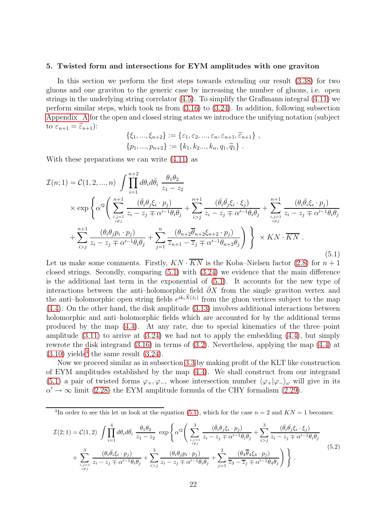#### <span id="page-21-0"></span>5. Twisted form and intersections for EYM amplitudes with one graviton

In this section we perform the first steps towards extending our result [\(3.38\)](#page-17-3) for two gluons and one graviton to the generic case by increasing the number of gluons, i.e. open strings in the underlying string correlator [\(4.5\)](#page-19-2). To simplify the Graßmann integral [\(4.11\)](#page-20-1) we perform similar steps, which took us from [\(3.16\)](#page-13-2) to [\(3.24\)](#page-15-0). In addition, following subsection [Appendix A](#page-34-0) for the open and closed string states we introduce the unifying notation (subject to  $\varepsilon_{n+1} = \widetilde{\varepsilon}_{n+1}$ :

<span id="page-21-1"></span>
$$
\{\xi_1, ..., \xi_{n+2}\} := \{\varepsilon_1, \varepsilon_2, ..., \varepsilon_n, \varepsilon_{n+1}, \widetilde{\varepsilon}_{n+1}\},\
$$
  

$$
\{p_1, ..., p_{n+2}\} := \{k_1, k_2, ..., k_n, q_1, \widetilde{q}_1\}.
$$

With these preparations we can write [\(4.11\)](#page-20-1) as

$$
\mathcal{I}(n;1) = \mathcal{C}(1,2,...,n) \int \prod_{i=1}^{n+2} d\theta_i d\bar{\theta}_i \frac{\theta_1 \theta_2}{z_1 - z_2} \n\times \exp \left\{ \alpha'^2 \left( \sum_{\substack{i,j=1 \ i \neq j}}^{n+1} \frac{(\bar{\theta}_i \theta_j \xi_i \cdot p_j)}{z_i - z_j \mp \alpha'^{-1} \theta_i \theta_j} + \sum_{i>j}^{n+1} \frac{(\bar{\theta}_i \bar{\theta}_j \xi_i \cdot \xi_j)}{z_i - z_j \mp \alpha'^{-1} \theta_i \theta_j} + \sum_{\substack{i,j=1 \ i \neq j}}^{n+1} \frac{(\theta_i \bar{\theta}_i \xi_i \cdot p_j)}{z_i - z_j \mp \alpha'^{-1} \theta_i \theta_j} \right\} \n+ \sum_{i>j}^{n+1} \frac{(\theta_i \theta_j p_i \cdot p_j)}{z_i - z_j \mp \alpha'^{-1} \theta_i \theta_j} + \sum_{j=1}^{n} \frac{(\theta_{n+2} \bar{\theta}_{n+2} \xi_{n+2} \cdot p_j)}{\overline{z}_{n+1} - \overline{z}_j \mp \alpha'^{-1} \theta_{n+2} \theta_j} \right\} \times KN \cdot \overline{KN} .
$$
\n(5.1)

Let us make some comments. Firstly,  $KN \cdot KN$  is the Koba–Nielsen factor [\(2.8\)](#page-5-1) for  $n+1$ closed strings. Secondly, comparing [\(5.1\)](#page-21-1) with [\(3.24\)](#page-15-0) we evidence that the main difference is the additional last term in the exponential of [\(5.1\)](#page-21-1). It accounts for the new type of interactions between the anti–holomorphic field  $\partial X$  from the single graviton vertex and the anti-holomorphic open string fields  $e^{ik_i \tilde{X}(\bar{z}_i)}$  from the gluon vertices subject to the map [\(4.4\)](#page-19-0). On the other hand, the disk amplitude [\(3.13\)](#page-12-4) involves additional interactions between holomorphic and anti–holomorphic fields which are accounted for by the additional terms produced by the map [\(4.4\)](#page-19-0). At any rate, due to special kinematics of the three–point amplitude  $(3.11)$  to arrive at  $(3.24)$  we had not to apply the embedding  $(4.4)$ , but simply rewrote the disk integrand [\(3.16\)](#page-13-2) in terms of [\(3.2\)](#page-10-3). Nevertheless, applying the map [\(4.4\)](#page-19-0) at  $(3.10)$  yields<sup>[3](#page-21-2)</sup> the same result  $(3.24)$ .

Now we proceed similar as in subsection [3.3](#page-16-0) by making profit of the KLT like construction of EYM amplitudes established by the map [\(4.4\)](#page-19-0). We shall construct from our integrand [\(5.1\)](#page-21-1) a pair of twisted forms  $\varphi_+,\varphi_-,$  whose intersection number  $\langle \varphi_+|\varphi_-\rangle_\omega$  will give in its  $\alpha' \to \infty$  limit [\(2.28\)](#page-8-4) the EYM amplitude formula of the CHY formalism [\(2.29\)](#page-9-0).

<span id="page-21-3"></span><span id="page-21-2"></span><sup>3</sup>In order to see this let us look at the equation [\(5.1\)](#page-21-1), which for the case  $n = 2$  and  $KN = 1$  becomes:

$$
\mathcal{I}(2;1) = \mathcal{C}(1,2) \int \prod_{i=1}^{4} d\theta_i d\bar{\theta}_i \frac{\theta_1 \theta_2}{z_1 - z_2} \exp \left\{ \alpha'^2 \left( \sum_{\substack{i,j=1 \\ i \neq j}}^3 \frac{(\bar{\theta}_i \theta_j \xi_i \cdot p_j)}{z_i - z_j \mp \alpha'^{-1} \theta_i \theta_j} + \sum_{i>j}^3 \frac{(\bar{\theta}_i \bar{\theta}_j \xi_i \cdot \xi_j)}{z_i - z_j \mp \alpha'^{-1} \theta_i \theta_j} + \sum_{i>j}^3 \frac{(\theta_i \bar{\theta}_i \xi_i \cdot p_j)}{z_i - z_j \mp \alpha'^{-1} \theta_i \theta_j} + \sum_{i>j}^3 \frac{(\theta_i \bar{\theta}_j p_i \cdot p_j)}{z_i - z_j \mp \alpha'^{-1} \theta_i \theta_j} + \sum_{j=1}^2 \frac{(\theta_4 \bar{\theta}_4 \xi_4 \cdot p_j)}{\overline{z}_3 - \overline{z}_j \mp \alpha'^{-1} \theta_4 \theta_j} \right) \right\}.
$$
\n
$$
(5.2)
$$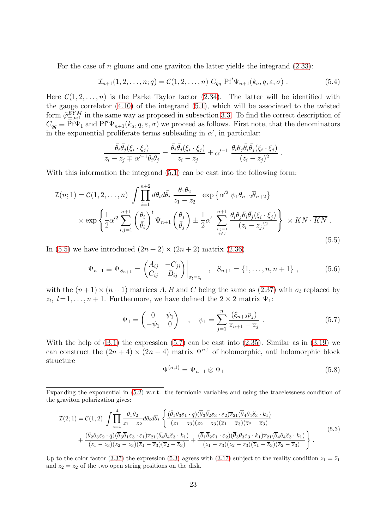For the case of  $n$  gluons and one graviton the latter yields the integrand  $(2.33)$ :

$$
\mathcal{I}_{n+1}(1,2,\ldots,n;q) = \mathcal{C}(1,2,\ldots,n) \ C_{qq} \ \mathrm{Pf}'\Psi_{n+1}(k_a,q,\varepsilon,\sigma) \ . \tag{5.4}
$$

Here  $C(1, 2, \ldots, n)$  is the Parke–Taylor factor [\(2.34\)](#page-9-7). The latter will be identified with the gauge correlator [\(4.10\)](#page-20-2) of the integrand [\(5.1\)](#page-21-1), which will be associated to the twisted form  $\tilde{\varphi}_{\pm,n;1}^{EYM}$  in the same way as proposed in subsection [3.3.](#page-16-0) To find the correct description of  $C_{qq} \equiv \overline{P}f\bar{\Psi}_1$  and  $Pf'\Psi_{n+1}(k_a, q, \varepsilon, \sigma)$  we proceed as follows. First note, that the denominators in the exponential proliferate terms subleading in  $\alpha'$ , in particular:

$$
\frac{\bar{\theta}_i \bar{\theta}_j(\xi_i \cdot \xi_j)}{z_i - z_j \mp \alpha'^{-1} \theta_i \theta_j} = \frac{\bar{\theta}_i \bar{\theta}_j(\xi_i \cdot \xi_j)}{z_i - z_j} \pm \alpha'^{-1} \frac{\theta_i \theta_j \bar{\theta}_i \bar{\theta}_j(\xi_i \cdot \xi_j)}{(z_i - z_j)^2}
$$

With this information the integrand  $(5.1)$  can be cast into the following form:

$$
\mathcal{I}(n;1) = \mathcal{C}(1,2,\ldots,n) \int \prod_{i=1}^{n+2} d\theta_i d\bar{\theta}_i \frac{\theta_1 \theta_2}{z_1 - z_2} \exp \left\{ \alpha'^2 \psi_1 \theta_{n+2} \overline{\theta}_{n+2} \right\}
$$

$$
\times \exp \left\{ \frac{1}{2} \alpha'^2 \sum_{i,j=1}^{n+1} \left( \frac{\theta_i}{\bar{\theta}_i} \right)^t \Psi_{n+1} \left( \frac{\theta_j}{\bar{\theta}_j} \right) \pm \frac{1}{2} \alpha' \sum_{i,j=1}^{n+1} \frac{\theta_i \theta_j \bar{\theta}_i \bar{\theta}_j (\xi_i \cdot \xi_j)}{(z_i - z_j)^2} \right\} \times KN \cdot \overline{KN} .
$$
\n(5.5)

In [\(5.5\)](#page-22-0) we have introduced  $(2n+2) \times (2n+2)$  matrix [\(2.36\)](#page-9-8)

$$
\Psi_{n+1} \equiv \Psi_{S_{n+1}} = \begin{pmatrix} A_{ij} & -C_{ji} \\ C_{ij} & B_{ij} \end{pmatrix} \Big|_{\sigma_l = z_l} , \quad S_{n+1} = \{1, \dots, n, n+1\} ,
$$
 (5.6)

with the  $(n+1) \times (n+1)$  matrices A, B and C being the same as [\(2.37\)](#page-10-5) with  $\sigma_l$  replaced by  $z_l, l=1,\ldots, n+1$ . Furthermore, we have defined the  $2\times 2$  matrix  $\Psi_1$ :

$$
\Psi_1 = \begin{pmatrix} 0 & \psi_1 \\ -\psi_1 & 0 \end{pmatrix} , \quad \psi_1 = \sum_{j=1}^n \frac{(\xi_{n+2} p_j)}{\overline{z}_{n+1} - \overline{z}_j} .
$$
 (5.7)

With the help of  $(B.1)$  the expression  $(5.7)$  can be cast into  $(2.35)$ . Similar as in  $(3.19)$  we can construct the  $(2n + 4) \times (2n + 4)$  matrix  $\Psi^{n,1}$  of holomorphic, anti holomorphic block structure

<span id="page-22-2"></span><span id="page-22-1"></span>
$$
\Psi^{(n;1)} = \Psi_{n+1} \otimes \Psi_1 \tag{5.8}
$$

<span id="page-22-3"></span><span id="page-22-0"></span>.

Expanding the exponential in [\(5.2\)](#page-21-3) w.r.t. the fermionic variables and using the tracelessness condition of the graviton polarization gives:

$$
\mathcal{I}(2;1) = \mathcal{C}(1,2) \int \prod_{i=1}^{4} \frac{\theta_1 \theta_2}{z_1 - z_2} d\theta_i d\overline{\theta}_i \left\{ \frac{(\overline{\theta}_1 \theta_3 \varepsilon_1 \cdot q)(\overline{\theta}_3 \overline{\theta}_2 \varepsilon_3 \cdot \varepsilon_2) \overline{z}_{21} (\overline{\theta}_4 \theta_4 \overline{\varepsilon}_3 \cdot k_1)}{(z_1 - z_3)(z_2 - z_3)(\overline{z}_1 - \overline{z}_3)(\overline{z}_2 - \overline{z}_3)} + \frac{(\overline{\theta}_2 \theta_3 \varepsilon_2 \cdot q)(\overline{\theta}_3 \overline{\theta}_1 \varepsilon_3 \cdot \varepsilon_1) \overline{z}_{21} (\overline{\theta}_4 \theta_4 \overline{\varepsilon}_3 \cdot k_1)}{(z_1 - z_3)(z_2 - z_3)(\overline{z}_1 - \overline{z}_3)(\overline{z}_2 - \overline{z}_3)} + \frac{(\overline{\theta}_1 \overline{\theta}_2 \varepsilon_1 \cdot \varepsilon_2)(\overline{\theta}_3 \theta_3 \varepsilon_3 \cdot k_1) \overline{z}_{21} (\overline{\theta}_4 \theta_4 \overline{\varepsilon}_3 \cdot k_1)}{(z_1 - z_3)(z_2 - z_3)(\overline{z}_1 - \overline{z}_3)(\overline{z}_2 - \overline{z}_3)} \right\}.
$$
\n
$$
(5.3)
$$

Up to the color factor [\(3.37\)](#page-17-4) the expression [\(5.3\)](#page-22-2) agrees with [\(3.17\)](#page-13-3) subject to the reality condition  $z_1 = \bar{z}_1$ and  $z_2 = \bar{z}_2$  of the two open string positions on the disk.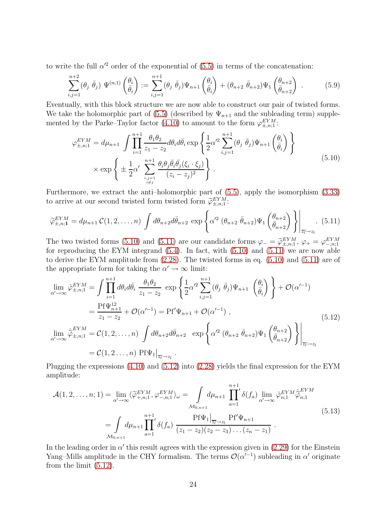to write the full  $\alpha'^2$  order of the exponential of [\(5.5\)](#page-22-0) in terms of the concatenation:

$$
\sum_{i,j=1}^{n+2} (\theta_j \ \bar{\theta}_j) \ \Psi^{(n;1)}\left(\frac{\theta_i}{\bar{\theta}_i}\right) := \sum_{i,j=1}^{n+1} (\theta_j \ \bar{\theta}_j) \Psi_{n+1}\left(\frac{\theta_i}{\bar{\theta}_i}\right) + (\theta_{n+2} \ \bar{\theta}_{n+2}) \Psi_1\left(\frac{\theta_{n+2}}{\bar{\theta}_{n+2}}\right) \ . \tag{5.9}
$$

Eventually, with this block structure we are now able to construct our pair of twisted forms. We take the holomorphic part of [\(5.5\)](#page-22-0) (described by  $\Psi_{n+1}$  and the subleading term) supple-mented by the Parke–Taylor factor [\(4.10\)](#page-20-2) to amount to the form  $\varphi_{\pm,n;1}^{EYM}$ :

<span id="page-23-1"></span><span id="page-23-0"></span>
$$
\varphi_{\pm,n;1}^{EYM} = d\mu_{n+1} \int \prod_{i=1}^{n+1} \frac{\theta_1 \theta_2}{z_1 - z_2} d\theta_i d\bar{\theta}_i \exp\left\{ \frac{1}{2} \alpha'^2 \sum_{i,j=1}^{n+1} (\theta_j \bar{\theta}_j) \Psi_{n+1} \left( \frac{\theta_i}{\bar{\theta}_i} \right) \right\}
$$
  
× 
$$
\exp\left\{ \pm \frac{1}{2} \alpha' \sum_{i,j=1 \atop i \neq j}^{n+1} \frac{\theta_i \theta_j \bar{\theta}_i \bar{\theta}_j (\xi_i \cdot \xi_j)}{(z_i - z_j)^2} \right\}.
$$
 (5.10)

Furthermore, we extract the anti–holomorphic part of [\(5.5\)](#page-22-0), apply the isomorphism [\(3.33\)](#page-17-0) to arrive at our second twisted form twisted form  $\widetilde{\varphi}_{\pm,n;1}^{EYM}$ :

$$
\widetilde{\varphi}_{\pm,n;1}^{EYM} = d\mu_{n+1} C(1,2,\ldots,n) \int d\theta_{n+2} d\bar{\theta}_{n+2} \exp\left\{ \alpha'^2 \left( \theta_{n+2} \bar{\theta}_{n+2} \right) \Psi_1 \left( \frac{\theta_{n+2}}{\bar{\theta}_{n+2}} \right) \right\} \Big|_{\overline{z_l} \to z_l} . \tag{5.11}
$$

The two twisted forms [\(5.10\)](#page-23-0) and [\(5.11\)](#page-23-1) are our candidate forms  $\varphi = \widetilde{\varphi}_{\pm,n;1}^{EYM}$ ,  $\varphi_+ = \varphi_{-,n;1}^{EYM}$ for reproducing the EYM integrand [\(5.4\)](#page-22-3). In fact, with [\(5.10\)](#page-23-0) and [\(5.11\)](#page-23-1) we are now able to derive the EYM amplitude from [\(2.28\)](#page-8-4). The twisted forms in eq. [\(5.10\)](#page-23-0) and [\(5.11\)](#page-23-1) are of the appropriate form for taking the  $\alpha' \to \infty$  limit:

<span id="page-23-2"></span>
$$
\lim_{\alpha' \to \infty} \hat{\varphi}_{\pm, n; 1}^{EYM} = \int \prod_{i=1}^{n+1} d\theta_i d\bar{\theta}_i \frac{\theta_1 \theta_2}{z_1 - z_2} \exp \left\{ \frac{1}{2} \alpha'^2 \sum_{i,j=1}^{n+1} (\theta_j \bar{\theta}_j) \Psi_{n+1} \left( \frac{\theta_i}{\bar{\theta}_i} \right) \right\} + \mathcal{O}(\alpha'^{-1})
$$
\n
$$
= \frac{\text{Pf}\Psi_{n+1}^{12}}{z_1 - z_2} + \mathcal{O}(\alpha'^{-1}) = \text{Pf}'\Psi_{n+1} + \mathcal{O}(\alpha'^{-1}),
$$
\n
$$
\lim_{\alpha' \to \infty} \hat{\tilde{\varphi}}_{\pm, n; 1}^{EYM} = \mathcal{C}(1, 2, \dots, n) \int d\theta_{n+2} d\bar{\theta}_{n+2} \exp \left\{ \alpha'^2 (\theta_{n+2} \bar{\theta}_{n+2}) \Psi_1 \left( \frac{\theta_{n+2}}{\bar{\theta}_{n+2}} \right) \right\} \Big|_{\overline{z_1} \to z_1}
$$
\n
$$
= \mathcal{C}(1, 2 \dots, n) \text{Pf}\Psi_1 \Big|_{\overline{z_1} \to z_1} .
$$
\n(5.12)

Plugging the expressions [\(4.10\)](#page-20-2) and [\(5.12\)](#page-23-2) into [\(2.28\)](#page-8-4) yields the final expression for the EYM amplitude:

$$
\mathcal{A}(1, 2, \dots, n; 1) = \lim_{\alpha' \to \infty} \langle \widetilde{\varphi}_{+,n; 1}^{EYM}, \varphi_{-,n; 1}^{EYM} \rangle_{\omega} = \int_{\mathcal{M}_{0,n+1}} d\mu_{n+1} \prod_{a=1}^{n+1} \delta(f_a) \lim_{\alpha' \to \infty} \widehat{\varphi}_{n; 1}^{EYM} \widehat{\varphi}_{n; 1}^{EYM}
$$
\n
$$
= \int_{\mathcal{M}_{0,n+1}} d\mu_{n+1} \prod_{a=1}^{n+1} \delta(f_a) \frac{\text{Pf}\Psi_1|_{\overline{z}_l \to z_l} \text{Pf}'\Psi_{n+1}}{(z_1 - z_2)(z_2 - z_3) \dots (z_n - z_1)} .
$$
\n(5.13)

In the leading order in  $\alpha'$  this result agrees with the expression given in [\(2.29\)](#page-9-0) for the Einstein Yang–Mills amplitude in the CHY formalism. The terms  $\mathcal{O}(\alpha'^{-1})$  subleading in  $\alpha'$  originate from the limit [\(5.12\)](#page-23-2).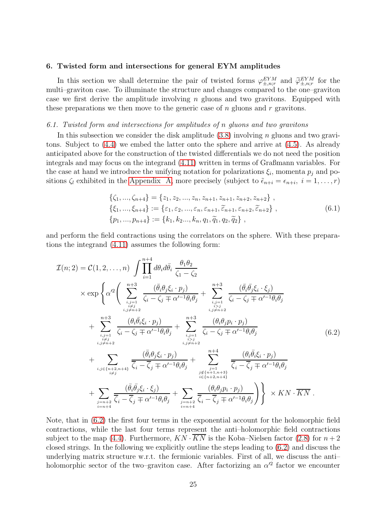#### <span id="page-24-0"></span>6. Twisted form and intersections for general EYM amplitudes

In this section we shall determine the pair of twisted forms  $\varphi_{\pm,n;r}^{EYM}$  and  $\widetilde{\varphi}_{\pm,n;r}^{EYM}$  for the multi–graviton case. To illuminate the structure and changes compared to the one–graviton case we first derive the amplitude involving  $n$  gluons and two gravitons. Equipped with these preparations we then move to the generic case of  $n$  gluons and  $r$  gravitons.

## <span id="page-24-1"></span>*6.1. Twisted form and intersections for amplitudes of* n *gluons and two gravitons*

In this subsection we consider the disk amplitude  $(3.8)$  involving n gluons and two gravitons. Subject to [\(4.4\)](#page-19-0) we embed the latter onto the sphere and arrive at [\(4.5\)](#page-19-2). As already anticipated above for the construction of the twisted differentials we do not need the position integrals and may focus on the integrand [\(4.11\)](#page-20-1) written in terms of Graßmann variables. For the case at hand we introduce the unifying notation for polarizations  $\xi_i$ , momenta  $p_j$  and positions  $\zeta_l$  exhibited in the [Appendix A,](#page-34-0) more precisely (subject to  $\tilde{\epsilon}_{n+i} = \epsilon_{n+i}, i = 1, \ldots, r$ )

<span id="page-24-3"></span><span id="page-24-2"></span>
$$
\{\zeta_1, ..., \zeta_{n+4}\} = \{z_1, z_2, ..., z_n, z_{n+1}, z_{n+1}, z_{n+2}, z_{n+2}\},
$$
  
\n
$$
\{\xi_1, ..., \xi_{n+4}\} := \{\varepsilon_1, \varepsilon_2, ..., \varepsilon_n, \varepsilon_{n+1}, \tilde{\varepsilon}_{n+1}, \varepsilon_{n+2}, \tilde{\varepsilon}_{n+2}\},
$$
  
\n
$$
\{p_1, ..., p_{n+4}\} := \{k_1, k_2, ..., k_n, q_1, \tilde{q}_1, q_2, \tilde{q}_2\},
$$
  
\n(6.1)

and perform the field contractions using the correlators on the sphere. With these preparations the integrand [\(4.11\)](#page-20-1) assumes the following form:

$$
\mathcal{I}(n;2) = \mathcal{C}(1,2,\ldots,n) \int \prod_{i=1}^{n+4} d\theta_i d\bar{\theta}_i \frac{\theta_1 \theta_2}{\zeta_1 - \zeta_2} \n\times \exp \left\{ \alpha'^2 \left( \sum_{\substack{i,j=1 \ i,j \neq n+2}}^{n+3} \frac{(\bar{\theta}_i \theta_j \zeta_i \cdot p_j)}{\zeta_i - \zeta_j \mp \alpha'^{-1} \theta_i \theta_j} + \sum_{\substack{i,j=1 \ i,j \neq n+2}}^{n+3} \frac{(\bar{\theta}_i \bar{\theta}_j \zeta_i \cdot \zeta_j)}{\zeta_i - \zeta_j \mp \alpha'^{-1} \theta_i \theta_j} \right. \n+ \sum_{\substack{i,j=1 \ i,j \neq n+2}}^{n+3} \frac{(\theta_i \bar{\theta}_i \bar{\xi}_i \cdot p_j)}{\zeta_i - \zeta_j \mp \alpha'^{-1} \theta_i \theta_j} + \sum_{\substack{i,j=1 \ i,j \neq n+2}}^{n+3} \frac{(\theta_i \theta_j p_i \cdot p_j)}{\zeta_i - \zeta_j \mp \alpha'^{-1} \theta_i \theta_j} \n+ \sum_{\substack{i,j \neq n+2 \ i,j \neq n+4}}^{n+3} \frac{(\bar{\theta}_i \theta_j \zeta_i \cdot p_j)}{\overline{\zeta_i - \overline{\zeta_j} \mp \alpha'^{-1} \theta_i \theta_j}} + \sum_{\substack{j=1 \ i \in \{n+1, n+3\} \\ i \in \{n+2, n+4\}}}^{n+4} \frac{(\theta_i \bar{\theta}_j \xi_i \cdot p_j)}{\overline{\zeta_i - \overline{\zeta_j} \mp \alpha'^{-1} \theta_i \theta_j}} \n+ \sum_{\substack{j=n+2 \ i=n+4}}^{n+4} \frac{(\bar{\theta}_i \bar{\theta}_j \xi_i \cdot \xi_j)}{\overline{\zeta_i - \overline{\zeta_j} \mp \alpha'^{-1} \theta_i \theta_j}} + \sum_{\substack{j=n+2 \ i=n+4}}^{n+4} \frac{(\theta_i \bar{\theta}_j p_i \cdot p_j)}{\overline{\zeta_i - \overline{\zeta_j} \mp \alpha'^{-1} \theta_i \theta_j}} \right\} \times KN \cdot \overline{KN} \ .
$$

Note, that in [\(6.2\)](#page-24-2) the first four terms in the exponential account for the holomorphic field contractions, while the last four terms represent the anti–holomorphic field contractions subject to the map [\(4.4\)](#page-19-0). Furthermore,  $KN \cdot \overline{KN}$  is the Koba–Nielsen factor [\(2.8\)](#page-5-1) for  $n+2$ closed strings. In the following we explicitly outline the steps leading to [\(6.2\)](#page-24-2) and discuss the underlying matrix structure w.r.t. the fermionic variables. First of all, we discuss the anti– holomorphic sector of the two–graviton case. After factorizing an  $\alpha'^2$  factor we encounter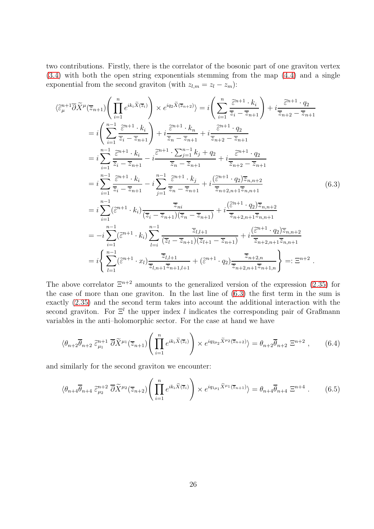two contributions. Firstly, there is the correlator of the bosonic part of one graviton vertex [\(3.4\)](#page-11-2) with both the open string exponentials stemming from the map [\(4.4\)](#page-19-0) and a single exponential from the second graviton (with  $z_{l,m} = z_l - z_m$ ):

<span id="page-25-0"></span>
$$
\langle \tilde{\varepsilon}_{\mu}^{n+1} \overline{\partial} \tilde{X}^{\mu} (\overline{z}_{n+1}) \left( \prod_{i=1}^{n} e^{ik_i \tilde{X}(\overline{z}_i)} \right) \times e^{iq_2 \tilde{X}(\overline{z}_{n+2})} = i \left( \sum_{i=1}^{n} \frac{\tilde{\varepsilon}^{n+1} \cdot k_i}{\overline{z}_i - \overline{z}_{n+1}} \right) + i \frac{\tilde{\varepsilon}^{n+1} \cdot k_i}{\overline{z}_n - \overline{z}_{n+1}} = i \left( \sum_{i=1}^{n-1} \frac{\tilde{\varepsilon}^{n+1} \cdot k_i}{\overline{z}_i - \overline{z}_{n+1}} \right) + i \frac{\tilde{\varepsilon}^{n+1} \cdot k_n}{\overline{z}_n - \overline{z}_{n+1}} + i \frac{\tilde{\varepsilon}^{n+1} \cdot q_2}{\overline{z}_{n+2} - \overline{z}_{n+1}}
$$
  
\n
$$
= i \sum_{i=1}^{n-1} \frac{\tilde{\varepsilon}^{n+1} \cdot k_i}{\overline{z}_i - \overline{z}_{n+1}} - i \frac{\tilde{\varepsilon}^{n+1} \cdot \sum_{j=1}^{n-1} k_j + q_2}{\overline{z}_n - \overline{z}_{n+1}} + i \frac{\tilde{\varepsilon}^{n+1} \cdot q_2}{\overline{z}_{n+2} - \overline{z}_{n+1}}
$$
  
\n
$$
= i \sum_{i=1}^{n-1} \frac{\tilde{\varepsilon}^{n+1} \cdot k_i}{\overline{z}_i - \overline{z}_{n+1}} - i \sum_{j=1}^{n-1} \frac{\tilde{\varepsilon}^{n+1} \cdot k_j}{\overline{z}_n - \overline{z}_{n+1}} + i \frac{(\tilde{\varepsilon}^{n+1} \cdot q_2) \overline{z}_{n,n+2}}{\overline{z}_{n+2,n+1} \overline{z}_{n,n+1}}
$$
(6.3)  
\n
$$
= i \sum_{i=1}^{n-1} (\tilde{\varepsilon}^{n+1} \cdot k_i) \frac{\overline{z}_{ni}}{(\overline{z}_i - \overline{z}_{n+1})(\overline{z}_n
$$

The above correlator  $\Xi^{n+2}$  amounts to the generalized version of the expression [\(2.35\)](#page-9-5) for the case of more than one graviton. In the last line of [\(6.3\)](#page-25-0) the first term in the sum is exactly [\(2.35\)](#page-9-5) and the second term takes into account the additional interaction with the second graviton. For  $\Xi^l$  the upper index l indicates the corresponding pair of Graßmann variables in the anti–holomorphic sector. For the case at hand we have

<span id="page-25-1"></span>
$$
\langle \theta_{n+2} \overline{\theta}_{n+2} \ \tilde{\varepsilon}_{\mu_1}^{n+1} \ \overline{\partial} \widetilde{X}^{\mu_1}(\overline{z}_{n+1}) \left( \prod_{i=1}^n e^{ik_i \widetilde{X}(\overline{z}_i)} \right) \times e^{iq_{2\mu_2} \widetilde{X}^{\mu_2}(\overline{z}_{n+2})} \rangle = \theta_{n+2} \overline{\theta}_{n+2} \ \Xi^{n+2} \ , \tag{6.4}
$$

and similarly for the second graviton we encounter:

<span id="page-25-2"></span>
$$
\langle \theta_{n+4} \overline{\theta}_{n+4} \ \tilde{\varepsilon}_{\mu_2}^{n+2} \ \overline{\partial} \widetilde{X}^{\mu_2} (\overline{z}_{n+2}) \left( \prod_{i=1}^n e^{ik_i \widetilde{X}(\overline{z}_i)} \right) \times e^{iq_{1\mu_1} \widetilde{X}^{\mu_1} (\overline{z}_{n+1})} \rangle = \theta_{n+4} \overline{\theta}_{n+4} \ \Xi^{n+4} \ . \tag{6.5}
$$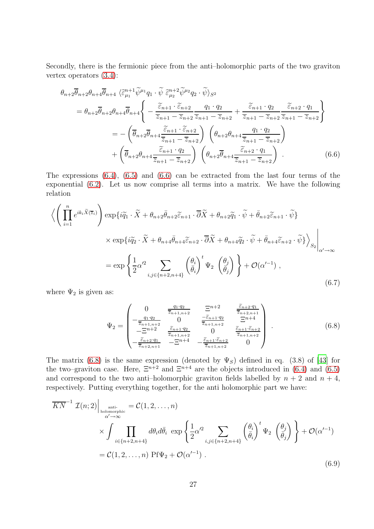Secondly, there is the fermionic piece from the anti–holomorphic parts of the two graviton vertex operators [\(3.4\)](#page-11-2):

$$
\theta_{n+2}\overline{\theta}_{n+2}\theta_{n+4}\overline{\theta}_{n+4} \left\langle \tilde{\varepsilon}_{\mu_1}^{n+1} \tilde{\psi}^{\mu_1} q_1 \cdot \tilde{\psi} \tilde{\varepsilon}_{\mu_2}^{n+2} \tilde{\psi}^{\mu_2} q_2 \cdot \tilde{\psi} \right\rangle_{S^2}
$$
\n
$$
= \theta_{n+2}\overline{\theta}_{n+2}\theta_{n+4}\overline{\theta}_{n+4} \left\{ -\frac{\tilde{\varepsilon}_{n+1} \cdot \tilde{\varepsilon}_{n+2}}{\overline{z}_{n+1} - \overline{z}_{n+2} \overline{z}_{n+1} - \overline{z}_{n+2}} + \frac{\tilde{\varepsilon}_{n+1} \cdot q_2}{\overline{z}_{n+1} - \overline{z}_{n+2} \overline{z}_{n+1} - \overline{z}_{n+2}} \right\}
$$
\n
$$
= -\left( \overline{\theta}_{n+2}\overline{\theta}_{n+4} \frac{\tilde{\varepsilon}_{n+1} \cdot \tilde{\varepsilon}_{n+2}}{\overline{z}_{n+1} - \overline{z}_{n+2}} \right) \left( \theta_{n+2}\theta_{n+4} \frac{q_1 \cdot q_2}{\overline{z}_{n+1} - \overline{z}_{n+2}} \right)
$$
\n
$$
+ \left( \overline{\theta}_{n+2}\theta_{n+4} \frac{\tilde{\varepsilon}_{n+1} \cdot q_2}{\overline{z}_{n+1} - \overline{z}_{n+2}} \right) \left( \theta_{n+2}\overline{\theta}_{n+4} \frac{\tilde{\varepsilon}_{n+2} \cdot q_1}{\overline{z}_{n+1} - \overline{z}_{n+2}} \right) . \tag{6.6}
$$

The expressions [\(6.4\)](#page-25-1), [\(6.5\)](#page-25-2) and [\(6.6\)](#page-26-0) can be extracted from the last four terms of the exponential [\(6.2\)](#page-24-2). Let us now comprise all terms into a matrix. We have the following relation

$$
\left\langle \left( \prod_{i=1}^{n} e^{ik_i \tilde{X}(\overline{z}_i)} \right) \exp\{i \tilde{q}_1 \cdot \tilde{X} + \theta_{n+2} \bar{\theta}_{n+2} \tilde{\epsilon}_{n+1} \cdot \overline{\partial} \tilde{X} + \theta_{n+2} \tilde{q}_1 \cdot \tilde{\psi} + \bar{\theta}_{n+2} \tilde{\epsilon}_{n+1} \cdot \tilde{\psi} \} \times \exp\{i \tilde{q}_2 \cdot \tilde{X} + \theta_{n+4} \bar{\theta}_{n+4} \tilde{\epsilon}_{n+2} \cdot \overline{\partial} \tilde{X} + \theta_{n+4} \tilde{q}_2 \cdot \tilde{\psi} + \bar{\theta}_{n+4} \tilde{\epsilon}_{n+2} \cdot \tilde{\psi} \} \right\rangle_{S_2} \Big|_{\alpha' \to \infty} = \exp \left\{ \frac{1}{2} \alpha'^2 \sum_{i,j \in \{n+2, n+4\}} \left( \frac{\theta_i}{\bar{\theta}_i} \right)^t \Psi_2 \left( \frac{\theta_j}{\bar{\theta}_j} \right) \right\} + \mathcal{O}(\alpha'^{-1}),
$$
\n(6.7)

where  $\Psi_2$  is given as:

<span id="page-26-2"></span><span id="page-26-1"></span><span id="page-26-0"></span>
$$
\Psi_{2} = \begin{pmatrix}\n0 & \frac{q_{1} \cdot q_{2}}{\overline{z}_{n+1,n+2}} & \frac{q_{1} \cdot q_{2}}{\overline{z}_{n+2,n+1}} \\
-\frac{q_{1} \cdot q_{2}}{\overline{z}_{n+1,n+2}} & 0 & \frac{-\tilde{c}_{n+1} \cdot q_{2}}{\overline{z}_{n+1,n+2}} & \frac{q_{1} \cdot q_{2}}{\overline{z}_{n+1,n+2}} \\
-\frac{q_{1} \cdot q_{2}}{\overline{z}_{n+1,n+2}} & \frac{\tilde{c}_{n+1} \cdot q_{2}}{\overline{z}_{n+1,n+2}} & 0 & \frac{\tilde{c}_{n+1} \cdot \tilde{c}_{n+2}}{\overline{z}_{n+1,n+2}} \\
-\frac{\tilde{c}_{n+2} \cdot q_{1}}{\overline{z}_{n+2,n+1}} & -\frac{q_{1} \cdot q_{2}}{\overline{z}_{n+1,n+2}} & -\frac{\tilde{c}_{n+1} \cdot \tilde{c}_{n+2}}{\overline{z}_{n+1,n+2}} & 0\n\end{pmatrix} .
$$
\n(6.8)

The matrix [\(6.8\)](#page-26-1) is the same expression (denoted by  $\Psi_S$ ) defined in eq. (3.8) of [\[43](#page-39-7)] for the two–graviton case. Here,  $\Xi^{n+2}$  and  $\Xi^{n+4}$  are the objects introduced in [\(6.4\)](#page-25-1) and [\(6.5\)](#page-25-2) and correspond to the two anti-holomorphic graviton fields labelled by  $n + 2$  and  $n + 4$ , respectively. Putting everything together, for the anti holomorphic part we have:

$$
\overline{KN}^{-1} \mathcal{I}(n;2) \Big|_{\substack{\text{anti-}\atop \alpha' \to \infty}} = \mathcal{C}(1,2,\ldots,n)
$$
\n
$$
\times \int \prod_{i \in \{n+2,n+4\}} d\theta_i d\bar{\theta}_i \, \exp\left\{\frac{1}{2}\alpha'^2 \sum_{i,j \in \{n+2,n+4\}} \left(\frac{\theta_i}{\bar{\theta}_i}\right)^t \Psi_2 \left(\frac{\theta_j}{\bar{\theta}_j}\right)\right\} + \mathcal{O}(\alpha'^{-1})
$$
\n
$$
= \mathcal{C}(1,2,\ldots,n) \, \text{Pf}\Psi_2 + \mathcal{O}(\alpha'^{-1}) \,.
$$
\n(6.9)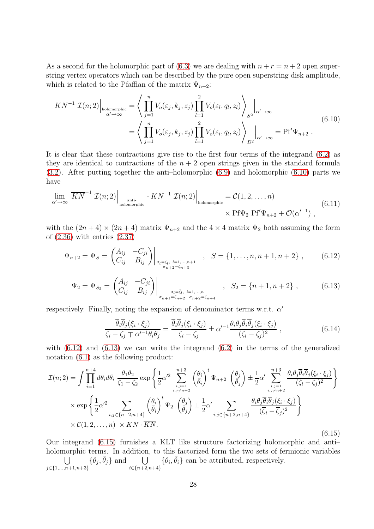As a second for the holomorphic part of [\(6.3\)](#page-25-0) we are dealing with  $n + r = n + 2$  open superstring vertex operators which can be described by the pure open superstring disk amplitude, which is related to the Pfaffian of the matrix  $\Psi_{n+2}$ :

<span id="page-27-0"></span>
$$
KN^{-1} \mathcal{I}(n;2) \Big|_{\substack{\text{holomorphic} \\ \alpha' \to \infty}} = \left\langle \prod_{j=1}^{n} V_o(\varepsilon_j, k_j, z_j) \prod_{l=1}^{2} V_o(\varepsilon_l, q_l, z_l) \right\rangle_{S^2} \Big|_{\alpha' \to \infty}
$$
  
= 
$$
\left\langle \prod_{j=1}^{n} V_o(\varepsilon_j, k_j, z_j) \prod_{l=1}^{2} V_o(\varepsilon_l, q_l, z_l) \right\rangle_{D^2} \Big|_{\alpha' \to \infty} = \text{Pf}' \Psi_{n+2} .
$$
 (6.10)

It is clear that these contractions give rise to the first four terms of the integrand [\(6.2\)](#page-24-2) as they are identical to contractions of the  $n + 2$  open strings given in the standard formula [\(3.2\)](#page-10-3). After putting together the anti–holomorphic [\(6.9\)](#page-26-2) and holomorphic [\(6.10\)](#page-27-0) parts we have

$$
\lim_{\alpha' \to \infty} \overline{KN}^{-1} \mathcal{I}(n;2) \Big|_{\substack{\text{anti-} \\ \text{holomorphic}}} \cdot KN^{-1} \mathcal{I}(n;2) \Big|_{\substack{\text{holomorphic} \\ \times \text{Pf}\Psi_2 \text{Pf}'\Psi_{n+2}} + \mathcal{O}(\alpha'^{-1})},
$$
(6.11)

with the  $(2n+4) \times (2n+4)$  matrix  $\Psi_{n+2}$  and the  $4 \times 4$  matrix  $\Psi_2$  both assuming the form of [\(2.36\)](#page-9-8) with entries [\(2.37\)](#page-10-5)

$$
\Psi_{n+2} = \Psi_S = \begin{pmatrix} A_{ij} & -C_{ji} \\ C_{ij} & B_{ij} \end{pmatrix} \Big|_{\sigma_l = \zeta_l, l=1,\dots,n+1} , S = \{1,\dots,n,n+1,n+2\} , \qquad (6.12)
$$

$$
\Psi_2 = \Psi_{S_2} = \begin{pmatrix} A_{ij} & -C_{ji} \\ C_{ij} & B_{ij} \end{pmatrix} \Big|_{\substack{\sigma_l = \bar{\zeta}_l, l = 1, \dots, n \\ \sigma_{n+1} = \bar{\zeta}_n + 2, \sigma_{n+2} = \bar{\zeta}_{n+4}}} , \quad S_2 = \{n+1, n+2\} ,
$$
 (6.13)

respectively. Finally, noting the expansion of denominator terms w.r.t.  $\alpha'$ 

<span id="page-27-4"></span><span id="page-27-3"></span><span id="page-27-2"></span><span id="page-27-1"></span>
$$
\frac{\overline{\theta}_{i}\overline{\theta}_{j}(\xi_{i}\cdot\xi_{j})}{\zeta_{i}-\zeta_{j}\mp\alpha'^{-1}\theta_{i}\theta_{j}} = \frac{\overline{\theta}_{i}\overline{\theta}_{j}(\xi_{i}\cdot\xi_{j})}{\zeta_{i}-\zeta_{j}} \pm \alpha'^{-1}\frac{\theta_{i}\theta_{j}\overline{\theta}_{i}\overline{\theta}_{j}(\xi_{i}\cdot\xi_{j})}{(\zeta_{i}-\zeta_{j})^{2}} ,
$$
\n(6.14)

with  $(6.12)$  and  $(6.13)$  we can write the integrand  $(6.2)$  in the terms of the generalized notation [\(6.1\)](#page-24-3) as the following product:

$$
\mathcal{I}(n;2) = \int \prod_{i=1}^{n+4} d\theta_i d\bar{\theta}_i \frac{\theta_1 \theta_2}{\zeta_1 - \zeta_2} \exp \left\{ \frac{1}{2} \alpha'^2 \sum_{\substack{i,j=1 \ i,j \neq n+2}}^{n+3} \binom{\theta_i}{\bar{\theta}_i}^t \Psi_{n+2} \binom{\theta_j}{\bar{\theta}_j} \pm \frac{1}{2} \alpha' \sum_{\substack{i,j=1 \ i,j \neq n+2}}^{n+3} \frac{\theta_i \theta_j \overline{\theta}_i (\xi_i \cdot \xi_j)}{(\zeta_i - \zeta_j)^2} \right\}
$$

$$
\times \exp \left\{ \frac{1}{2} \alpha'^2 \sum_{\substack{i,j \in \{n+2, n+4\}} \binom{\theta_i}{\bar{\theta}_i}^t \Psi_2 \binom{\theta_j}{\bar{\theta}_j} \pm \frac{1}{2} \alpha' \sum_{\substack{i,j \in \{n+2, n+4\}} \frac{\theta_i \theta_j \overline{\theta}_i (\xi_i \cdot \xi_j)}{(\overline{\zeta}_i - \overline{\zeta}_j)^2} \right\}
$$

$$
\times \mathcal{C}(1,2,\ldots,n) \times KN \cdot \overline{KN}.
$$
(6.15)

Our integrand [\(6.15\)](#page-27-3) furnishes a KLT like structure factorizing holomorphic and anti– holomorphic terms. In addition, to this factorized form the two sets of fermionic variables  $\overline{\phantom{a}}$  $\bigcup_{j\in\{1,\ldots,n+1,n+3\}} {\{\theta_j,\bar{\theta}_j\}}$  and  $\bigcup_{i\in\{n+2,n+4\}} {\{\theta_i,\bar{\theta}_i\}}$  can be attributed, respectively.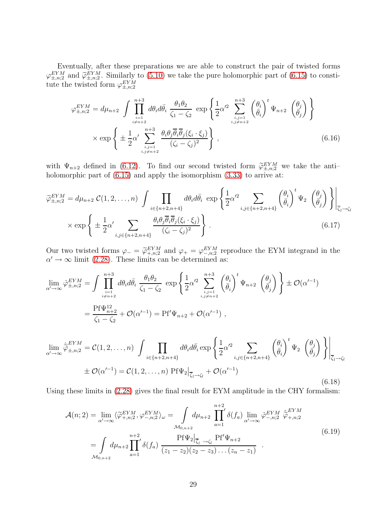Eventually, after these preparations we are able to construct the pair of twisted forms  $\varphi_{\pm,m;2}^{EYM}$  and  $\widetilde{\varphi}_{\pm,m;2}^{EYM}$ . Similarly to [\(5.10\)](#page-23-0) we take the pure holomorphic part of [\(6.15\)](#page-27-3) to constitution to the training of  $EYM$ tute the twisted form  $\varphi_{\pm,n;2}^{EYM}$ 

$$
\varphi_{\pm,n;2}^{EYM} = d\mu_{n+2} \int \prod_{\substack{i=1 \ i \neq n+2}}^{n+3} d\theta_i d\bar{\theta}_i \frac{\theta_1 \theta_2}{\zeta_1 - \zeta_2} \exp \left\{ \frac{1}{2} \alpha'^2 \sum_{\substack{i,j=1 \ i,j \neq n+2}}^{n+3} \left( \frac{\theta_i}{\bar{\theta}_i} \right)^t \Psi_{n+2} \left( \frac{\theta_j}{\bar{\theta}_j} \right) \right\}
$$

$$
\times \exp \left\{ \pm \frac{1}{2} \alpha' \sum_{\substack{i,j=1 \ i,j \neq n+2}}^{n+3} \frac{\theta_i \theta_j \overline{\theta}_i \overline{\theta}_j (\zeta_i \cdot \xi_j)}{(\zeta_i - \zeta_j)^2} \right\},
$$
(6.16)

with  $\Psi_{n+2}$  defined in [\(6.12\)](#page-27-1). To find our second twisted form  $\widetilde{\varphi}_{\pm,n;2}^{EYM}$  we take the antiholomorphic part of  $(6.15)$  and apply the isomorphism  $(3.33)$  to arrive at:

$$
\widetilde{\varphi}_{\pm,n;2}^{EYM} = d\mu_{n+2} C(1,2,\ldots,n) \int \prod_{i \in \{n+2,n+4\}} d\theta_i d\bar{\theta}_i \exp\left\{ \frac{1}{2} \alpha'^2 \sum_{i,j \in \{n+2,n+4\}} \left(\frac{\theta_i}{\bar{\theta}_i}\right)^t \Psi_2 \left(\frac{\theta_j}{\bar{\theta}_j}\right) \right\} \Big|_{\overline{\zeta}_i \to \zeta_i}
$$
\n
$$
\times \exp\left\{ \pm \frac{1}{2} \alpha' \sum_{i,j \in \{n+2,n+4\}} \frac{\theta_i \theta_j \overline{\theta}_i \overline{\theta}_j(\xi_i \cdot \xi_j)}{(\zeta_i - \zeta_j)^2} \right\}.
$$
\n(6.17)

Our two twisted forms  $\varphi_-=\widetilde{\varphi}_{+,n;2}^{EYM}$  and  $\varphi_+=\varphi_{-,n;2}^{EYM}$  reproduce the EYM integrand in the  $\alpha' \rightarrow \infty$  limit [\(2.28\)](#page-8-4). These limits can be determined as:

$$
\lim_{\alpha' \to \infty} \hat{\varphi}_{\pm, n; 2}^{EYM} = \int \prod_{\substack{i=1 \ i \neq n+2}}^{n+3} d\theta_i d\bar{\theta}_i \frac{\theta_1 \theta_2}{\zeta_1 - \zeta_2} \exp \left\{ \frac{1}{2} \alpha'^2 \sum_{\substack{i,j=1 \ i,j \neq n+2}}^{n+3} \left( \frac{\theta_i}{\bar{\theta}_i} \right)^t \Psi_{n+2} \left( \frac{\theta_j}{\bar{\theta}_j} \right) \right\} \pm \mathcal{O}(\alpha'^{-1})
$$
\n
$$
= \frac{\text{Pf}\Psi_{n+2}^{12}}{\zeta_1 - \zeta_2} + \mathcal{O}(\alpha'^{-1}) = \text{Pf}'\Psi_{n+2} + \mathcal{O}(\alpha'^{-1}) ,
$$
\n
$$
\lim_{\alpha' \to \infty} \hat{\varphi}_{\pm, n; 2}^{EYM} = \mathcal{C}(1, 2, \dots, n) \int \prod_{\substack{i,j=1 \ i,j \neq n+2}} d\theta_i d\bar{\theta}_i \exp \left\{ \frac{1}{2} \alpha'^2 \sum_{\substack{i,j=1 \ i,j \neq n+2}} \left( \frac{\theta_i}{\bar{\theta}_i} \right)^t \Psi_2 \left( \frac{\theta_j}{\bar{\theta}_j} \right) \right\} \Big|_{\mp} .
$$

$$
\mathcal{P}_{\pm,n;2} = \mathcal{O}(1,2,\ldots,n) \int \prod_{i \in \{n+2,n+4\}} \omega_i \omega_i \exp \left\{ 2^{\alpha} \sum_{i,j \in \{n+2,n+4\}} \left( \theta_i \right)^{-1} \left( \theta_j \right) \int \Big|_{\overline{\zeta}_l \to \zeta_l} \right\}
$$
  
 
$$
\pm \mathcal{O}(\alpha'^{-1}) = \mathcal{C}(1,2,\ldots,n) \Pr[\Psi_2]_{\overline{\zeta}_l \to \zeta_l} + \mathcal{O}(\alpha'^{-1})
$$
(6.18)

Using these limits in [\(2.28\)](#page-8-4) gives the final result for EYM amplitude in the CHY formalism:

$$
\mathcal{A}(n;2) = \lim_{\alpha' \to \infty} \langle \widetilde{\varphi}_{+,n;2}^{EYM}, \varphi_{-,n;2}^{EYM} \rangle_{\omega} = \int_{\mathcal{M}_{0,n+2}} d\mu_{n+2} \prod_{a=1}^{n+2} \delta(f_a) \lim_{\alpha' \to \infty} \hat{\varphi}_{-,n;2}^{EYM} \hat{\varphi}_{+,n;2}^{EYM}
$$
\n
$$
= \int_{\mathcal{M}_{0,n+2}} d\mu_{n+2} \prod_{a=1}^{n+2} \delta(f_a) \frac{\text{Pf}\Psi_2|_{\overline{\zeta}_l \to \zeta_l} \text{Pf}'\Psi_{n+2}}{(z_1 - z_2)(z_2 - z_3) \dots (z_n - z_1)} .
$$
\n(6.19)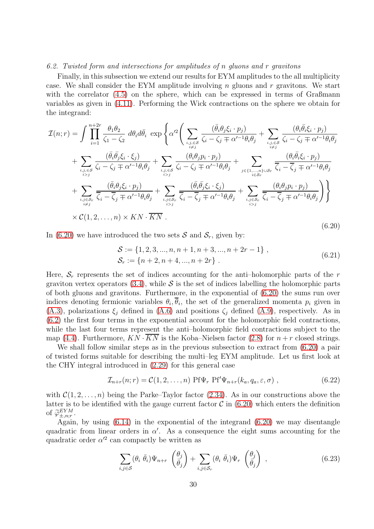#### <span id="page-29-0"></span>*6.2. Twisted form and intersections for amplitudes of* n *gluons and* r *gravitons*

Finally, in this subsection we extend our results for EYM amplitudes to the all multiplicity case. We shall consider the EYM amplitude involving  $n$  gluons and  $r$  gravitons. We start with the correlator [\(4.5\)](#page-19-2) on the sphere, which can be expressed in terms of Graßmann variables as given in [\(4.11\)](#page-20-1). Performing the Wick contractions on the sphere we obtain for the integrand:

<span id="page-29-1"></span>
$$
\mathcal{I}(n;r) = \int \prod_{i=1}^{n+2r} \frac{\theta_1 \theta_2}{\zeta_1 - \zeta_2} d\theta_i d\bar{\theta}_i \exp \left\{ \alpha'^2 \left( \sum_{\substack{i,j,\in\mathcal{S} \\ i \neq j}} \frac{(\bar{\theta}_i \theta_j \xi_i \cdot p_j)}{\zeta_i - \zeta_j \mp \alpha'^{-1} \theta_i \theta_j} + \sum_{\substack{i,j,\in\mathcal{S} \\ i \neq j}} \frac{(\theta_i \bar{\theta}_i \xi_i \cdot p_j)}{\zeta_i - \zeta_j \mp \alpha'^{-1} \theta_i \theta_j} + \sum_{\substack{i,j,\in\mathcal{S} \\ i>j}} \frac{(\bar{\theta}_i \bar{\theta}_j \xi_i \cdot \xi_j)}{\zeta_i - \zeta_j \mp \alpha'^{-1} \theta_i \theta_j} + \sum_{\substack{i,j,\in\mathcal{S} \\ i>j}} \frac{(\theta_i \theta_j p_i \cdot p_j)}{\zeta_i - \zeta_j \mp \alpha'^{-1} \theta_i \theta_j} + \sum_{\substack{i,j,\in\mathcal{S} \\ i>j}} \frac{(\theta_i \theta_j p_i \cdot p_j)}{\zeta_i - \zeta_j \mp \alpha'^{-1} \theta_i \theta_j} + \sum_{\substack{i,j,\in\mathcal{S} \\ i \neq j}} \frac{(\bar{\theta}_i \theta_j \xi_i \cdot p_j)}{\zeta_i - \overline{\zeta}_j \mp \alpha'^{-1} \theta_i \theta_j} + \sum_{\substack{i,j,\in\mathcal{S} \\ i \neq j}} \frac{(\bar{\theta}_i \bar{\theta}_j \xi_i \cdot \xi_j)}{\zeta_i - \overline{\zeta}_j \mp \alpha'^{-1} \theta_i \theta_j} + \sum_{\substack{i,j,\in\mathcal{S} \\ i \neq j}} \frac{(\theta_i \bar{\theta}_j \xi_i \cdot p_j)}{\zeta_i - \overline{\zeta}_j \mp \alpha'^{-1} \theta_i \theta_j} \right\}
$$
\n
$$
\times \mathcal{C}(1, 2, \dots, n) \times KN \cdot \overline{KN} \tag{6.20}
$$

In [\(6.20\)](#page-29-1) we have introduced the two sets  $S$  and  $S_r$ , given by:

$$
S := \{1, 2, 3, ..., n, n+1, n+3, ..., n+2r-1\},\
$$
  

$$
S_r := \{n+2, n+4, ..., n+2r\}.
$$
 (6.21)

Here,  $S_r$  represents the set of indices accounting for the anti-holomorphic parts of the r graviton vertex operators  $(3.4)$ , while S is the set of indices labelling the holomorphic parts of both gluons and gravitons. Furthermore, in the exponential of [\(6.20\)](#page-29-1) the sums run over indices denoting fermionic variables  $\theta_i, \theta_i$ , the set of the generalized momenta  $p_i$  given in [\(A.3\)](#page-34-1), polarizations  $\xi_i$  defined in [\(A.6\)](#page-35-1) and positions  $\zeta_i$  defined [\(A.9\)](#page-35-2), respectively. As in [\(6.2\)](#page-24-2) the first four terms in the exponential account for the holomorphic field contractions, while the last four terms represent the anti–holomorphic field contractions subject to the map [\(4.4\)](#page-19-0). Furthermore,  $KN \cdot \overline{KN}$  is the Koba–Nielsen factor [\(2.8\)](#page-5-1) for  $n+r$  closed strings.

We shall follow similar steps as in the previous subsection to extract from [\(6.20\)](#page-29-1) a pair of twisted forms suitable for describing the multi–leg EYM amplitude. Let us first look at the CHY integral introduced in [\(2.29\)](#page-9-0) for this general case

$$
\mathcal{I}_{n+r}(n;r) = \mathcal{C}(1,2,\ldots,n) \text{ Pf}\Psi_r \text{ Pf}'\Psi_{n+r}(k_a,q_a,\varepsilon,\sigma) ,\qquad (6.22)
$$

with  $C(1, 2, \ldots, n)$  being the Parke–Taylor factor [\(2.34\)](#page-9-7). As in our constructions above the latter is to be identified with the gauge current factor  $\mathcal C$  in [\(6.20\)](#page-29-1) which enters the definition of  $\widetilde{\varphi}_{\pm,n;r}^{EYM}$ .

Again, by using [\(6.14\)](#page-27-4) in the exponential of the integrand [\(6.20\)](#page-29-1) we may disentangle quadratic from linear orders in  $\alpha'$ . As a consequence the eight sums accounting for the quadratic order  $\alpha'^2$  can compactly be written as

<span id="page-29-2"></span>
$$
\sum_{i,j\in\mathcal{S}}(\theta_i\ \bar{\theta}_i)\Psi_{n+r}\ \left(\frac{\theta_j}{\bar{\theta}_j}\right)+\sum_{i,j\in\mathcal{S}_r}(\theta_i\ \bar{\theta}_i)\Psi_r\ \left(\frac{\theta_j}{\bar{\theta}_j}\right)\ ,\tag{6.23}
$$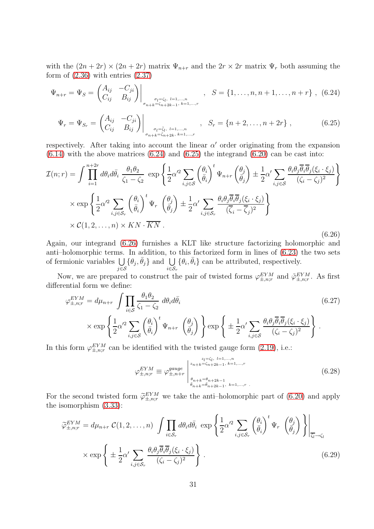with the  $(2n + 2r) \times (2n + 2r)$  matrix  $\Psi_{n+r}$  and the  $2r \times 2r$  matrix  $\Psi_r$  both assuming the form of  $(2.36)$  with entries  $(2.37)$ 

$$
\Psi_{n+r} = \Psi_S = \begin{pmatrix} A_{ij} & -C_{ji} \\ C_{ij} & B_{ij} \end{pmatrix} \Big|_{\sigma_l = \zeta_l, l=1,\dots,n \atop \sigma_{n+k} = \zeta_{n+2k-1}, k=1,\dots,r}, \quad S = \{1,\dots,n,n+1,\dots,n+r\}, \quad (6.24)
$$

<span id="page-30-2"></span><span id="page-30-1"></span><span id="page-30-0"></span>
$$
\Psi_r = \Psi_{S_r} = \begin{pmatrix} A_{ij} & -C_{ji} \\ C_{ij} & B_{ij} \end{pmatrix} \Big|_{\sigma_l = \bar{\zeta}_l, l = 1, \dots, n \atop \sigma_{n+k} = \bar{\zeta}_n + 2k, k = 1, \dots, r}, \quad S_r = \{n+2, \dots, n+2r\} ,
$$
 (6.25)

respectively. After taking into account the linear  $\alpha'$  order originating from the expansion  $(6.14)$  with the above matrices  $(6.24)$  and  $(6.25)$  the integrand  $(6.20)$  can be cast into:

$$
\mathcal{I}(n;r) = \int \prod_{i=1}^{n+2r} d\theta_i d\bar{\theta}_i \frac{\theta_1 \theta_2}{\zeta_1 - \zeta_2} \exp\left\{ \frac{1}{2} \alpha'^2 \sum_{i,j \in \mathcal{S}} \left( \frac{\theta_i}{\bar{\theta}_i} \right)^t \Psi_{n+r} \left( \frac{\theta_j}{\bar{\theta}_j} \right) \pm \frac{1}{2} \alpha' \sum_{i,j \in \mathcal{S}} \frac{\theta_i \theta_j \overline{\theta}_i \overline{\theta}_j (\xi_i \cdot \xi_j)}{(\zeta_i - \zeta_j)^2} \right\}
$$

$$
\times \exp\left\{ \frac{1}{2} \alpha'^2 \sum_{i,j \in \mathcal{S}_r} \left( \frac{\theta_i}{\bar{\theta}_i} \right)^t \Psi_r \left( \frac{\theta_j}{\bar{\theta}_j} \right) \pm \frac{1}{2} \alpha' \sum_{i,j \in \mathcal{S}_r} \frac{\theta_i \theta_j \overline{\theta}_i \overline{\theta}_j (\xi_i \cdot \xi_j)}{(\overline{\zeta}_i - \overline{\zeta}_j)^2} \right\}
$$

$$
\times \mathcal{C}(1, 2, \dots, n) \times KN \cdot \overline{KN} .
$$
(6.26)

Again, our integrand [\(6.26\)](#page-30-2) furnishes a KLT like structure factorizing holomorphic and anti–holomorphic terms. In addition, to this factorized form in lines of [\(6.23\)](#page-29-2) the two sets of fermionic variables  $\bigcup$  $\bigcup_{j\in\mathcal{S}} {\{\theta_j,\bar{\theta}_j\}}$  and  $\bigcup_{i\in\mathcal{S}_r} {\{\theta_i,\bar{\theta}_i\}}$  can be attributed, respectively.

Now, we are prepared to construct the pair of twisted forms  $\varphi_{\pm,n;r}^{EYM}$  and  $\tilde{\varphi}_{\pm,n;r}^{EYM}$ . As first differential form we define:

$$
\varphi_{\pm,n;r}^{EYM} = d\mu_{n+r} \int \prod_{i \in S} \frac{\theta_1 \theta_2}{\zeta_1 - \zeta_2} d\theta_i d\bar{\theta}_i
$$
\n
$$
\times \exp \left\{ \frac{1}{2} \alpha'^2 \sum_{i,j \in S} \left( \frac{\theta_i}{\bar{\theta}_i} \right)^t \Psi_{n+r} \left( \frac{\theta_j}{\bar{\theta}_j} \right) \right\} \exp \left\{ \pm \frac{1}{2} \alpha' \sum_{i,j \in S} \frac{\theta_i \theta_j \bar{\theta}_i \bar{\theta}_j (\xi_i \cdot \xi_j)}{(\zeta_i - \zeta_j)^2} \right\}.
$$
\n(6.27)

In this form  $\varphi_{\pm,n;\mathbf{r}}^{EYM}$  can be identified with the twisted gauge form [\(2.19\)](#page-7-1), i.e.:

<span id="page-30-5"></span><span id="page-30-4"></span><span id="page-30-3"></span>
$$
\varphi_{\pm,n;r}^{EYM} \equiv \varphi_{\pm,n+r}^{gauge} \begin{bmatrix} z_{n+k} = z_{n+2k-1}, & i=1,\dots,r \\ z_{n+k} = z_{n+2k-1}, & k=1,\dots,r \\ \theta_{n+k} = \theta_{n+2k-1}, & k=1,\dots,r \end{bmatrix} \tag{6.28}
$$

For the second twisted form  $\tilde{\varphi}_{\pm,n;r}^{EYM}$  we take the anti-holomorphic part of [\(6.20\)](#page-29-1) and apply the isomorphism [\(3.33\)](#page-17-0):

$$
\widetilde{\varphi}_{\pm,n;r}^{EYM} = d\mu_{n+r} \mathcal{C}(1,2,\ldots,n) \int \prod_{i \in S_r} d\theta_i d\bar{\theta}_i \exp \left\{ \frac{1}{2} \alpha'^2 \sum_{i,j \in S_r} \left( \frac{\theta_i}{\bar{\theta}_i} \right)^t \Psi_r \left( \frac{\theta_j}{\bar{\theta}_j} \right) \right\} \Big|_{\overline{\zeta_i} \to \zeta_l}
$$
\n
$$
\times \exp \left\{ \pm \frac{1}{2} \alpha' \sum_{i,j \in S_r} \frac{\theta_i \theta_j \overline{\theta}_i \overline{\theta}_j (\xi_i \cdot \xi_j)}{(\zeta_i - \zeta_j)^2} \right\}.
$$
\n(6.29)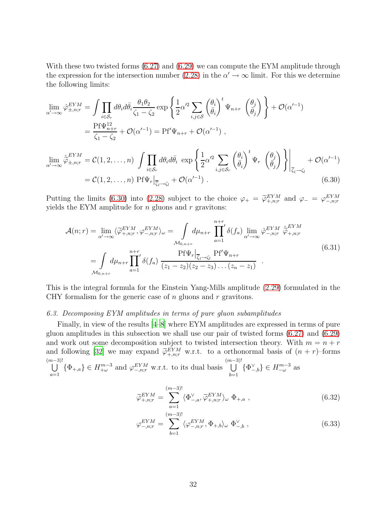With these two twisted forms  $(6.27)$  and  $(6.29)$  we can compute the EYM amplitude through the expression for the intersection number [\(2.28\)](#page-8-4) in the  $\alpha' \to \infty$  limit. For this we determine the following limits:

$$
\lim_{\alpha' \to \infty} \hat{\varphi}_{\pm, n; r}^{EYM} = \int \prod_{i \in S_r} d\theta_i d\bar{\theta}_i \frac{\theta_1 \theta_2}{\zeta_1 - \zeta_2} \exp \left\{ \frac{1}{2} \alpha'^2 \sum_{i,j \in S} \left( \frac{\theta_i}{\bar{\theta}_i} \right)^t \Psi_{n+r} \left( \frac{\theta_j}{\bar{\theta}_j} \right) \right\} + \mathcal{O}(\alpha'^{-1})
$$
\n
$$
= \frac{\text{Pf}\Psi_{n+r}^{12}}{\zeta_1 - \zeta_2} + \mathcal{O}(\alpha'^{-1}) = \text{Pf}'\Psi_{n+r} + \mathcal{O}(\alpha'^{-1}) ,
$$
\n
$$
\lim_{\alpha' \to \infty} \hat{\varphi}_{\pm, n; r}^{EYM} = \mathcal{C}(1, 2, \dots, n) \int \prod_{i \in S_r} d\theta_i d\bar{\theta}_i \exp \left\{ \frac{1}{2} \alpha'^2 \sum_{i,j \in S_r} \left( \frac{\theta_i}{\bar{\theta}_i} \right)^t \Psi_r \left( \frac{\theta_j}{\bar{\theta}_j} \right) \right\} \Big|_{\overline{\zeta}_1 \to \zeta_l} + \mathcal{O}(\alpha'^{-1})
$$
\n
$$
= \mathcal{C}(1, 2, \dots, n) \text{Pf}\Psi_r \Big|_{\overline{\zeta}_l \to \zeta_l} + \mathcal{O}(\alpha'^{-1}) . \tag{6.30}
$$

Putting the limits [\(6.30\)](#page-31-1) into [\(2.28\)](#page-8-4) subject to the choice  $\varphi_+ = \widetilde{\varphi}^{EYM}_{+,n;r}$  and  $\varphi_- = \varphi^{EYM}_{-,n;r}$ yields the EYM amplitude for  $n$  gluons and  $r$  gravitons:

<span id="page-31-2"></span><span id="page-31-1"></span>
$$
\mathcal{A}(n;r) = \lim_{\alpha' \to \infty} \langle \widetilde{\varphi}_{+,n;r}^{EYM}, \varphi_{-,n;r}^{EYM} \rangle_{\omega} = \int_{\mathcal{M}_{0,n+r}} d\mu_{n+r} \prod_{a=1}^{n+r} \delta(f_a) \lim_{\alpha' \to \infty} \hat{\varphi}_{-,n;r}^{EYM} \hat{\varphi}_{+,n;r}^{EYM}
$$
\n
$$
= \int_{\mathcal{M}_{0,n+r}} d\mu_{n+r} \prod_{a=1}^{n+r} \delta(f_a) \frac{\text{Pf}\Psi_r|_{\overline{\zeta}_l \to \zeta_l} \text{Pf}'\Psi_{n+r}}{(z_1 - z_2)(z_2 - z_3) \dots (z_n - z_1)} .
$$
\n(6.31)

This is the integral formula for the Einstein Yang-Mills amplitude [\(2.29\)](#page-9-0) formulated in the CHY formalism for the generic case of  $n$  gluons and  $r$  gravitons.

### <span id="page-31-0"></span>*6.3. Decomposing EYM amplitudes in terms of pure gluon subamplitudes*

Finally, in view of the results [\[4](#page-37-3)[–8](#page-37-4)] where EYM amplitudes are expressed in terms of pure gluon amplitudes in this subsection we shall use our pair of twisted forms [\(6.27\)](#page-30-3) and [\(6.29\)](#page-30-4) and work out some decomposition subject to twisted intersection theory. With  $m = n + r$ and following [\[32](#page-38-14)] we may expand  $\widetilde{\varphi}_{+,n;r}^{EYM}$  w.r.t. to a orthonormal basis of  $(n + r)$ -forms  $\begin{pmatrix} m-3)! \\ | \end{pmatrix}$  $\bigcup_{a=1}^{(m-3)!} {\{\Phi_{+,a}\}} \in H_{+\omega}^{m-3}$  and  $\varphi_{-,n;r}^{EYM}$  w.r.t. to its dual basis  $\bigcup_{b=1}^{(m-3)!}$  $\bigcup_{b=1}^{\infty} \{\Phi_{-,b}^{\vee}\}\in H_{-\omega}^{m-3}$  as

$$
\widetilde{\varphi}_{+,n;r}^{EYM} = \sum_{a=1}^{(m-3)!} \langle \Phi_{-,a}^{\vee}, \widetilde{\varphi}_{+,n;r}^{EYM} \rangle_{\omega} \Phi_{+,a} , \qquad (6.32)
$$

$$
\varphi_{-,n;r}^{EYM} = \sum_{b=1}^{(m-3)!} \langle \varphi_{-,n;r}^{EYM}, \Phi_{+,b} \rangle_{\omega} \Phi_{-,b}^{\vee} , \qquad (6.33)
$$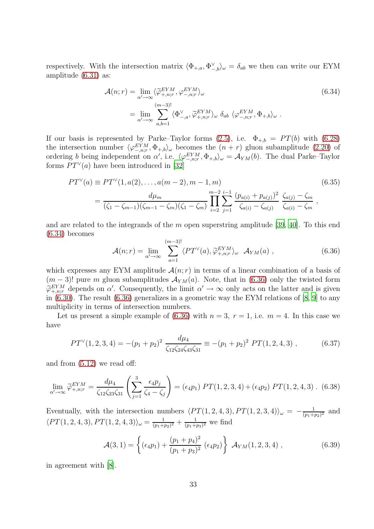respectively. With the intersection matrix  $\langle \Phi_{+,a}, \Phi_{-,b}^{\vee} \rangle_{\omega} = \delta_{ab}$  we then can write our EYM amplitude [\(6.31\)](#page-31-2) as:

<span id="page-32-0"></span>
$$
\mathcal{A}(n;r) = \lim_{\alpha' \to \infty} \langle \widetilde{\varphi}_{+,n;r}^{EYM}, \varphi_{-,n;r}^{EYM} \rangle_{\omega}
$$
\n
$$
= \lim_{\alpha' \to \infty} \sum_{a,b=1}^{(m-3)!} \langle \Phi_{-,a}^{\vee}, \widetilde{\varphi}_{+,n;r}^{EYM} \rangle_{\omega} \, \delta_{ab} \, \langle \varphi_{-,n;r}^{EYM}, \Phi_{+,b} \rangle_{\omega} .
$$
\n(6.34)

If our basis is represented by Parke–Taylor forms  $(2.5)$ , i.e.  $\Phi_{+,b} = PT(b)$  with  $(6.28)$ the intersection number  $\langle \varphi_{-,n;r}^{EYM}, \Phi_{+,b} \rangle_{\omega}$  becomes the  $(n + r)$  gluon subamplitude [\(2.20\)](#page-7-2) of ordering b being independent on  $\alpha'$ , i.e.  $\langle \varphi_{-,n;r}^{EYM}, \Phi_{+,b} \rangle_{\omega} = \mathcal{A}_{YM}(b)$ . The dual Parke–Taylor forms  $PT^{\vee}(a)$  have been introduced in [\[32\]](#page-38-14)

$$
PT^{V}(a) \equiv PT^{V}(1, a(2), ..., a(m-2), m-1, m)
$$
\n
$$
= \frac{d\mu_{m}}{(\zeta_{1} - \zeta_{m-1})(\zeta_{m-1} - \zeta_{m})(\zeta_{1} - \zeta_{m})} \prod_{i=2}^{m-2} \sum_{j=1}^{i-1} \frac{(p_{a(i)} + p_{a(j)})^{2}}{\zeta_{a(i)} - \zeta_{a(j)}} \frac{\zeta_{a(j)} - \zeta_{m}}{\zeta_{a(i)} - \zeta_{m}},
$$
\n(6.35)

and are related to the integrands of the  $m$  open superstring amplitude [\[39,](#page-39-5) [40](#page-39-9)]. To this end [\(6.34\)](#page-32-0) becomes  $\overline{a}$ 

<span id="page-32-1"></span>
$$
\mathcal{A}(n;r) = \lim_{\alpha' \to \infty} \sum_{a=1}^{(m-3)!} \langle PT^{\vee}(a), \tilde{\varphi}_{+,n;r}^{EYM} \rangle_{\omega} \mathcal{A}_{YM}(a) , \qquad (6.36)
$$

which expresses any EYM amplitude  $\mathcal{A}(n;r)$  in terms of a linear combination of a basis of  $(m-3)!$  pure m gluon subamplitudes  $\mathcal{A}_{YM}(a)$ . Note, that in [\(6.36\)](#page-32-1) only the twisted form  $\widetilde{\varphi}_{+,n;r}^{EYM}$  depends on  $\alpha'$ . Consequently, the limit  $\alpha' \to \infty$  only acts on the latter and is given<br>in (c, 20). The result (c, 26) consequently is a geometric such b EVM relations of [8, 0] to such in [\(6.30\)](#page-31-1). The result [\(6.36\)](#page-32-1) generalizes in a geometric way the EYM relations of [\[8,](#page-37-4) [9\]](#page-37-5) to any multiplicity in terms of intersection numbers.

Let us present a simple example of  $(6.36)$  with  $n = 3$ ,  $r = 1$ , i.e.  $m = 4$ . In this case we have

$$
PT^{\vee}(1,2,3,4) = -(p_1 + p_2)^2 \frac{d\mu_4}{\zeta_{12}\zeta_{24}\zeta_{43}\zeta_{31}} \equiv -(p_1 + p_2)^2 \, PT(1,2,4,3) \,, \tag{6.37}
$$

and from [\(5.12\)](#page-23-2) we read off:

$$
\lim_{\alpha' \to \infty} \widetilde{\varphi}_{+,n;r}^{EYM} = \frac{d\mu_4}{\zeta_{12}\zeta_{23}\zeta_{31}} \left( \sum_{j=1}^3 \frac{\epsilon_4 p_j}{\zeta_4 - \zeta_j} \right) = (\epsilon_4 p_1) \ PT(1,2,3,4) + (\epsilon_4 p_2) \ PT(1,2,4,3) \ . \tag{6.38}
$$

Eventually, with the intersection numbers  $\langle PT(1, 2, 4, 3), PT(1, 2, 3, 4)\rangle_\omega = -\frac{1}{(p_1+p_2)^2}$  $\frac{1}{(p_1+p_2)^2}$  and  $\langle PT(1, 2, 4, 3), PT(1, 2, 4, 3)\rangle_\omega = \frac{1}{(p_1 + p_2)}$  $\frac{1}{(p_1+p_2)^2}+\frac{1}{(p_1+p_2)^2}$  $\frac{1}{(p_1+p_3)^2}$  we find

$$
\mathcal{A}(3,1) = \left\{ (\epsilon_4 p_1) + \frac{(p_1 + p_4)^2}{(p_1 + p_3)^2} (\epsilon_4 p_2) \right\} \mathcal{A}_{YM}(1,2,3,4) , \qquad (6.39)
$$

in agreement with [\[8](#page-37-4)].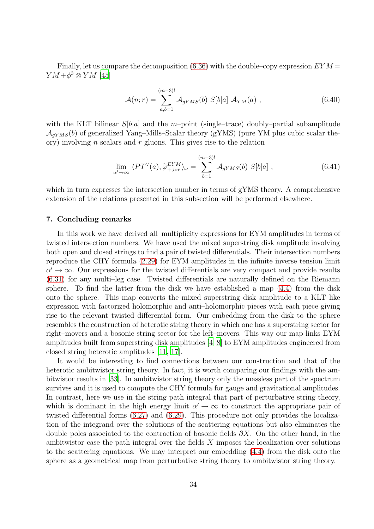Finally, let us compare the decomposition [\(6.36\)](#page-32-1) with the double–copy expression  $EYM$  $YM+\phi^3\otimes YM$  [\[45\]](#page-39-10)

$$
\mathcal{A}(n;r) = \sum_{a,b=1}^{(m-3)!} \mathcal{A}_{gYMS}(b) S[b|a] \mathcal{A}_{YM}(a) , \qquad (6.40)
$$

with the KLT bilinear  $S[b]a]$  and the m-point (single–trace) doubly–partial subamplitude  $\mathcal{A}_{aYMS}(b)$  of generalized Yang–Mills–Scalar theory (gYMS) (pure YM plus cubic scalar theory) involving *n* scalars and  $r$  gluons. This gives rise to the relation

$$
\lim_{\alpha' \to \infty} \langle PT^{\vee}(a), \tilde{\varphi}^{EYM}_{+,n;r} \rangle_{\omega} = \sum_{b=1}^{(m-3)!} \mathcal{A}_{gYMS}(b) S[b|a] , \qquad (6.41)
$$

which in turn expresses the intersection number in terms of gYMS theory. A comprehensive extension of the relations presented in this subsection will be performed elsewhere.

#### <span id="page-33-0"></span>7. Concluding remarks

In this work we have derived all–multiplicity expressions for EYM amplitudes in terms of twisted intersection numbers. We have used the mixed superstring disk amplitude involving both open and closed strings to find a pair of twisted differentials. Their intersection numbers reproduce the CHY formula [\(2.29\)](#page-9-0) for EYM amplitudes in the infinite inverse tension limit  $\alpha' \to \infty$ . Our expressions for the twisted differentials are very compact and provide results [\(6.31\)](#page-31-2) for any multi–leg case. Twisted differentials are naturally defined on the Riemann sphere. To find the latter from the disk we have established a map [\(4.4\)](#page-19-0) from the disk onto the sphere. This map converts the mixed superstring disk amplitude to a KLT like expression with factorized holomorphic and anti–holomorphic pieces with each piece giving rise to the relevant twisted differential form. Our embedding from the disk to the sphere resembles the construction of heterotic string theory in which one has a superstring sector for right–movers and a bosonic string sector for the left–movers. This way our map links EYM amplitudes built from superstring disk amplitudes [\[4](#page-37-3)[–8\]](#page-37-4) to EYM amplitudes engineered from closed string heterotic amplitudes [\[11,](#page-37-7) [17\]](#page-38-0).

It would be interesting to find connections between our construction and that of the heterotic ambitwistor string theory. In fact, it is worth comparing our findings with the ambitwistor results in [\[33](#page-38-15)]. In ambitwistor string theory only the massless part of the spectrum survives and it is used to compute the CHY formula for gauge and gravitational amplitudes. In contrast, here we use in the string path integral that part of perturbative string theory, which is dominant in the high energy limit  $\alpha' \to \infty$  to construct the appropriate pair of twisted differential forms [\(6.27\)](#page-30-3) and [\(6.29\)](#page-30-4). This procedure not only provides the localization of the integrand over the solutions of the scattering equations but also eliminates the double poles associated to the contraction of bosonic fields  $\partial X$ . On the other hand, in the ambitwistor case the path integral over the fields  $X$  imposes the localization over solutions to the scattering equations. We may interpret our embedding [\(4.4\)](#page-19-0) from the disk onto the sphere as a geometrical map from perturbative string theory to ambitwistor string theory.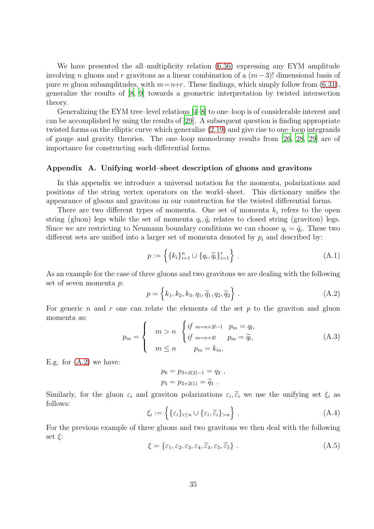We have presented the all–multiplicity relation [\(6.36\)](#page-32-1) expressing any EYM amplitude involving n gluons and r gravitons as a linear combination of a  $(m-3)!$  dimensional basis of pure m gluon subamplitudes, with  $m=n+r$ . These findings, which simply follow from [\(6.31\)](#page-31-2), generalize the results of [\[8,](#page-37-4) [9](#page-37-5)] towards a geometric interpretation by twisted intersection theory.

Generalizing the EYM tree–level relations [\[4](#page-37-3)[–8\]](#page-37-4) to one–loop is of considerable interest and can be accomplished by using the results of [\[29](#page-38-11)]. A subsequent question is finding appropriate twisted forms on the elliptic curve which generalize [\(2.19\)](#page-7-1) and give rise to one–loop integrands of gauge and gravity theories. The one–loop monodromy results from [\[26,](#page-38-8) [28,](#page-38-10) [29\]](#page-38-11) are of importance for constructing such differential forms.

## <span id="page-34-0"></span>Appendix A. Unifying world–sheet description of gluons and gravitons

In this appendix we introduce a universal notation for the momenta, polarizations and positions of the string vertex operators on the world–sheet. This dictionary unifies the appearance of gluons and gravitons in our construction for the twisted differential forms.

There are two different types of momenta. One set of momenta  $k_i$  refers to the open string (gluon) legs while the set of momenta  $q_i, \tilde{q}_i$  relates to closed string (graviton) legs. Since we are restricting to Neumann boundary conditions we can choose  $q_i = \tilde{q}_i$ . These two different sets are unified into a larger set of momenta denoted by  $p_i$  and described by:

$$
p := \left\{ \{k_i\}_{i=1}^n \cup \{q_i, \widetilde{q}_i\}_{i=1}^r \right\}.
$$
\n(A.1)

As an example for the case of three gluons and two gravitons we are dealing with the following set of seven momenta p:

<span id="page-34-2"></span>
$$
p = \left\{ k_1, k_2, k_3, q_1, \tilde{q}_1, q_2, \tilde{q}_2 \right\}.
$$
 (A.2)

For generic n and r one can relate the elements of the set p to the graviton and gluon momenta as:

<span id="page-34-1"></span>
$$
p_m = \begin{cases} m > n & \begin{cases} if \ m = n + 2l - 1 & p_m = q_l, \\ if \ m = n + 2l & p_m = \widetilde{q}_l, \end{cases} \\ m \leq n & p_m = k_m, \end{cases} \tag{A.3}
$$

E.g. for  $(A.2)$  we have:

$$
p_6 = p_{3+2(2)-1} = q_2 ,
$$
  

$$
p_5 = p_{3+2(1)} = \tilde{q}_1 .
$$

Similarly, for the gluon  $\varepsilon_i$  and graviton polarizations  $\varepsilon_i$ ,  $\tilde{\varepsilon}_i$  we use the unifying set  $\xi_i$  as follows:

$$
\xi_i := \left\{ \{\varepsilon_i\}_{i \le n} \cup \{\varepsilon_i, \widetilde{\varepsilon}_i\}_{>n} \right\} . \tag{A.4}
$$

<span id="page-34-3"></span>For the previous example of three gluons and two gravitons we then deal with the following set  $\xi$ :

$$
\xi = \{\varepsilon_1, \varepsilon_2, \varepsilon_3, \varepsilon_4, \widetilde{\varepsilon}_4, \varepsilon_5, \widetilde{\varepsilon}_5\}.
$$
\n(A.5)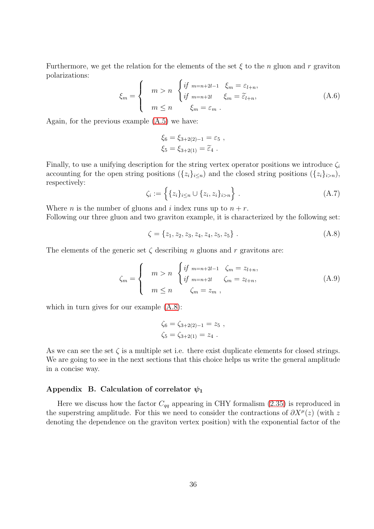Furthermore, we get the relation for the elements of the set  $\xi$  to the n gluon and r graviton polarizations:

<span id="page-35-1"></span>
$$
\xi_m = \begin{cases}\n m > n \\
 m < n\n\end{cases}\n\begin{cases}\n\text{if } m = n + 2l - 1 \\
\text{if } m = n + 2l \\
 \text{if } m = 2l - 2n\n\end{cases}\n\xi_m = \widetilde{\varepsilon}_{l+n},\n\tag{A.6}
$$

Again, for the previous example [\(A.5\)](#page-34-3) we have:

$$
\xi_6 = \xi_{3+2(2)-1} = \varepsilon_5 ,
$$
  

$$
\xi_5 = \xi_{3+2(1)} = \tilde{\varepsilon}_4 .
$$

Finally, to use a unifying description for the string vertex operator positions we introduce  $\zeta_i$ accounting for the open string positions  $({z_i}_{i\leq n})$  and the closed string positions  $({z_i}_{i\geq n})$ , respectively:

$$
\zeta_i := \left\{ \{ z_i \}_{i \le n} \cup \{ z_i, z_i \}_{i > n} \right\} . \tag{A.7}
$$

Where *n* is the number of gluons and *i* index runs up to  $n + r$ .

Following our three gluon and two graviton example, it is characterized by the following set:

<span id="page-35-3"></span><span id="page-35-2"></span>
$$
\zeta = \{z_1, z_2, z_3, z_4, z_4, z_5, z_5\} \tag{A.8}
$$

The elements of the generic set  $\zeta$  describing n gluons and r gravitons are:

$$
\zeta_m = \begin{cases}\n m > n \\
 m \le n\n\end{cases}\n\begin{cases}\n\text{if } m = n + 2l - 1 \\
\text{if } m = n + 2l \\
 \text{if } m = 2l + n,\n\end{cases}\n\zeta_m = z_{l+n},\n\tag{A.9}
$$

which in turn gives for our example  $(A.8)$ :

$$
\zeta_6 = \zeta_{3+2(2)-1} = z_5 ,
$$
  
\n
$$
\zeta_5 = \zeta_{3+2(1)} = z_4 .
$$

As we can see the set  $\zeta$  is a multiple set i.e. there exist duplicate elements for closed strings. We are going to see in the next sections that this choice helps us write the general amplitude in a concise way.

## <span id="page-35-0"></span>Appendix B. Calculation of correlator  $\psi_1$

Here we discuss how the factor  $C_{qq}$  appearing in CHY formalism [\(2.35\)](#page-9-5) is reproduced in the superstring amplitude. For this we need to consider the contractions of  $\partial X^{\mu}(z)$  (with z denoting the dependence on the graviton vertex position) with the exponential factor of the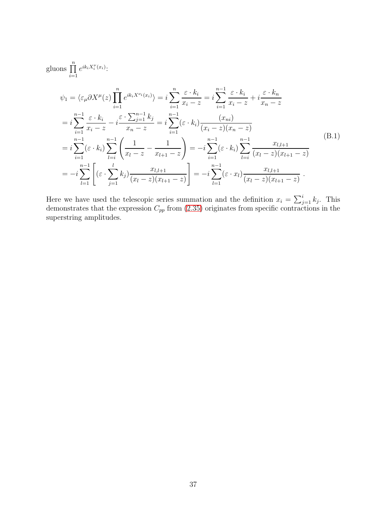<span id="page-36-0"></span>gluons 
$$
\prod_{i=1}^{n} e^{ik_i X_i^{\nu}(x_i)}.
$$
\n
$$
\psi_1 = \langle \varepsilon_{\mu} \partial X^{\mu}(z) \prod_{i=1}^{n} e^{ik_i X^{\nu_i}(x_i)} \rangle = i \sum_{i=1}^{n} \frac{\varepsilon \cdot k_i}{x_i - z} = i \sum_{i=1}^{n-1} \frac{\varepsilon \cdot k_i}{x_i - z} + i \frac{\varepsilon \cdot k_n}{x_n - z}
$$
\n
$$
= i \sum_{i=1}^{n-1} \frac{\varepsilon \cdot k_i}{x_i - z} - i \frac{\varepsilon \cdot \sum_{j=1}^{n-1} k_j}{x_n - z} = i \sum_{i=1}^{n-1} (\varepsilon \cdot k_i) \frac{(x_{ni})}{(x_i - z)(x_n - z)}
$$
\n
$$
= i \sum_{i=1}^{n-1} (\varepsilon \cdot k_i) \sum_{l=i}^{n-1} \left( \frac{1}{x_l - z} - \frac{1}{x_{l+1} - z} \right) = -i \sum_{i=1}^{n-1} (\varepsilon \cdot k_i) \sum_{l=i}^{n-1} \frac{x_{l,l+1}}{(x_l - z)(x_{l+1} - z)}
$$
\n
$$
= -i \sum_{l=1}^{n-1} \left[ (\varepsilon \cdot \sum_{j=1}^{l} k_j) \frac{x_{l,l+1}}{(x_l - z)(x_{l+1} - z)} \right] = -i \sum_{l=1}^{n-1} (\varepsilon \cdot x_l) \frac{x_{l,l+1}}{(x_l - z)(x_{l+1} - z)}.
$$
\n(B.1)

Here we have used the telescopic series summation and the definition  $x_i = \sum_{j=1}^i k_j$ . This demonstrates that the expression  $C_{pp}$  from [\(2.35\)](#page-9-5) originates from specific contractions in the superstring amplitudes.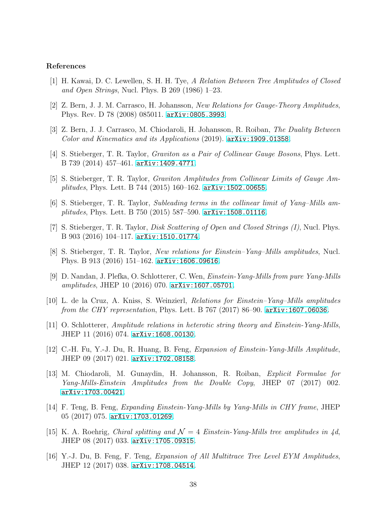#### References

- <span id="page-37-0"></span>[1] H. Kawai, D. C. Lewellen, S. H. H. Tye, *A Relation Between Tree Amplitudes of Closed and Open Strings*, Nucl. Phys. B 269 (1986) 1–23.
- <span id="page-37-1"></span>[2] Z. Bern, J. J. M. Carrasco, H. Johansson, *New Relations for Gauge-Theory Amplitudes*, Phys. Rev. D 78 (2008) 085011. [arXiv:0805.3993](http://arxiv.org/abs/0805.3993).
- <span id="page-37-2"></span>[3] Z. Bern, J. J. Carrasco, M. Chiodaroli, H. Johansson, R. Roiban, *The Duality Between Color and Kinematics and its Applications* (2019). [arXiv:1909.01358](http://arxiv.org/abs/1909.01358).
- <span id="page-37-3"></span>[4] S. Stieberger, T. R. Taylor, *Graviton as a Pair of Collinear Gauge Bosons*, Phys. Lett. B 739 (2014) 457–461. [arXiv:1409.4771](http://arxiv.org/abs/1409.4771).
- [5] S. Stieberger, T. R. Taylor, *Graviton Amplitudes from Collinear Limits of Gauge Amplitudes*, Phys. Lett. B 744 (2015) 160–162. [arXiv:1502.00655](http://arxiv.org/abs/1502.00655).
- [6] S. Stieberger, T. R. Taylor, *Subleading terms in the collinear limit of Yang–Mills amplitudes*, Phys. Lett. B 750 (2015) 587–590. [arXiv:1508.01116](http://arxiv.org/abs/1508.01116).
- [7] S. Stieberger, T. R. Taylor, *Disk Scattering of Open and Closed Strings (I)*, Nucl. Phys. B 903 (2016) 104–117. [arXiv:1510.01774](http://arxiv.org/abs/1510.01774).
- <span id="page-37-4"></span>[8] S. Stieberger, T. R. Taylor, *New relations for Einstein–Yang–Mills amplitudes*, Nucl. Phys. B 913 (2016) 151–162. [arXiv:1606.09616](http://arxiv.org/abs/1606.09616).
- <span id="page-37-5"></span>[9] D. Nandan, J. Plefka, O. Schlotterer, C. Wen, *Einstein-Yang-Mills from pure Yang-Mills amplitudes*, JHEP 10 (2016) 070. [arXiv:1607.05701](http://arxiv.org/abs/1607.05701).
- [10] L. de la Cruz, A. Kniss, S. Weinzierl, *Relations for Einstein–Yang–Mills amplitudes from the CHY representation*, Phys. Lett. B 767 (2017) 86–90. [arXiv:1607.06036](http://arxiv.org/abs/1607.06036).
- <span id="page-37-7"></span>[11] O. Schlotterer, *Amplitude relations in heterotic string theory and Einstein-Yang-Mills*, JHEP 11 (2016) 074. [arXiv:1608.00130](http://arxiv.org/abs/1608.00130).
- [12] C.-H. Fu, Y.-J. Du, R. Huang, B. Feng, *Expansion of Einstein-Yang-Mills Amplitude*, JHEP 09 (2017) 021. [arXiv:1702.08158](http://arxiv.org/abs/1702.08158).
- [13] M. Chiodaroli, M. Gunaydin, H. Johansson, R. Roiban, *Explicit Formulae for Yang-Mills-Einstein Amplitudes from the Double Copy*, JHEP 07 (2017) 002. [arXiv:1703.00421](http://arxiv.org/abs/1703.00421).
- [14] F. Teng, B. Feng, *Expanding Einstein-Yang-Mills by Yang-Mills in CHY frame*, JHEP 05 (2017) 075. [arXiv:1703.01269](http://arxiv.org/abs/1703.01269).
- [15] K. A. Roehrig, *Chiral splitting and*  $\mathcal{N} = 4$  *Einstein-Yang-Mills tree amplitudes in 4d*, JHEP 08 (2017) 033. [arXiv:1705.09315](http://arxiv.org/abs/1705.09315).
- <span id="page-37-6"></span>[16] Y.-J. Du, B. Feng, F. Teng, *Expansion of All Multitrace Tree Level EYM Amplitudes*, JHEP 12 (2017) 038. [arXiv:1708.04514](http://arxiv.org/abs/1708.04514).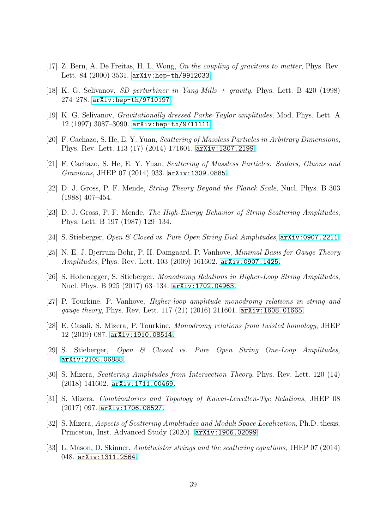- <span id="page-38-0"></span>[17] Z. Bern, A. De Freitas, H. L. Wong, *On the coupling of gravitons to matter*, Phys. Rev. Lett. 84 (2000) 3531. [arXiv:hep-th/9912033](http://arxiv.org/abs/hep-th/9912033).
- [18] K. G. Selivanov, *SD perturbiner in Yang-Mills + gravity*, Phys. Lett. B 420 (1998) 274–278. [arXiv:hep-th/9710197](http://arxiv.org/abs/hep-th/9710197).
- <span id="page-38-1"></span>[19] K. G. Selivanov, *Gravitationally dressed Parke-Taylor amplitudes*, Mod. Phys. Lett. A 12 (1997) 3087–3090. [arXiv:hep-th/9711111](http://arxiv.org/abs/hep-th/9711111).
- <span id="page-38-2"></span>[20] F. Cachazo, S. He, E. Y. Yuan, *Scattering of Massless Particles in Arbitrary Dimensions*, Phys. Rev. Lett. 113 (17) (2014) 171601. [arXiv:1307.2199](http://arxiv.org/abs/1307.2199).
- <span id="page-38-3"></span>[21] F. Cachazo, S. He, E. Y. Yuan, *Scattering of Massless Particles: Scalars, Gluons and Gravitons*, JHEP 07 (2014) 033. [arXiv:1309.0885](http://arxiv.org/abs/1309.0885).
- <span id="page-38-4"></span>[22] D. J. Gross, P. F. Mende, *String Theory Beyond the Planck Scale*, Nucl. Phys. B 303 (1988) 407–454.
- <span id="page-38-5"></span>[23] D. J. Gross, P. F. Mende, *The High-Energy Behavior of String Scattering Amplitudes*, Phys. Lett. B 197 (1987) 129–134.
- <span id="page-38-6"></span>[24] S. Stieberger, *Open & Closed vs. Pure Open String Disk Amplitudes,* [arXiv:0907.2211](http://arxiv.org/abs/0907.2211).
- <span id="page-38-7"></span>[25] N. E. J. Bjerrum-Bohr, P. H. Damgaard, P. Vanhove, *Minimal Basis for Gauge Theory Amplitudes*, Phys. Rev. Lett. 103 (2009) 161602. [arXiv:0907.1425](http://arxiv.org/abs/0907.1425).
- <span id="page-38-8"></span>[26] S. Hohenegger, S. Stieberger, *Monodromy Relations in Higher-Loop String Amplitudes*, Nucl. Phys. B 925 (2017) 63–134. [arXiv:1702.04963](http://arxiv.org/abs/1702.04963).
- <span id="page-38-9"></span>[27] P. Tourkine, P. Vanhove, *Higher-loop amplitude monodromy relations in string and gauge theory*, Phys. Rev. Lett. 117 (21) (2016) 211601. [arXiv:1608.01665](http://arxiv.org/abs/1608.01665).
- <span id="page-38-10"></span>[28] E. Casali, S. Mizera, P. Tourkine, *Monodromy relations from twisted homology*, JHEP 12 (2019) 087. [arXiv:1910.08514](http://arxiv.org/abs/1910.08514).
- <span id="page-38-11"></span>[29] S. Stieberger, *Open & Closed vs. Pure Open String One-Loop Amplitudes,* [arXiv:2105.06888](http://arxiv.org/abs/2105.06888).
- <span id="page-38-12"></span>[30] S. Mizera, *Scattering Amplitudes from Intersection Theory*, Phys. Rev. Lett. 120 (14) (2018) 141602. [arXiv:1711.00469](http://arxiv.org/abs/1711.00469).
- <span id="page-38-13"></span>[31] S. Mizera, *Combinatorics and Topology of Kawai-Lewellen-Tye Relations*, JHEP 08 (2017) 097. [arXiv:1706.08527](http://arxiv.org/abs/1706.08527).
- <span id="page-38-14"></span>[32] S. Mizera, *Aspects of Scattering Amplitudes and Moduli Space Localization*, Ph.D. thesis, Princeton, Inst. Advanced Study (2020). [arXiv:1906.02099](http://arxiv.org/abs/1906.02099).
- <span id="page-38-15"></span>[33] L. Mason, D. Skinner, *Ambitwistor strings and the scattering equations*, JHEP 07 (2014) 048. [arXiv:1311.2564](http://arxiv.org/abs/1311.2564).